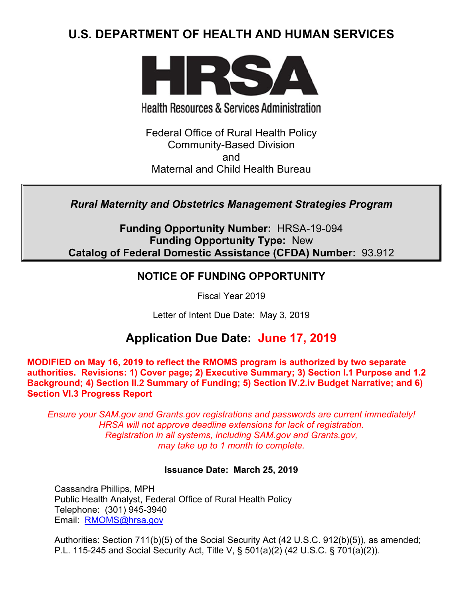# **U.S. DEPARTMENT OF HEALTH AND HUMAN SERVICES**



**Health Resources & Services Administration** 

Federal Office of Rural Health Policy Community-Based Division and Maternal and Child Health Bureau

*Rural Maternity and Obstetrics Management Strategies Program* 

**Funding Opportunity Number:** HRSA-19-094 **Funding Opportunity Type:** New **Catalog of Federal Domestic Assistance (CFDA) Number:** 93.912

## **NOTICE OF FUNDING OPPORTUNITY**

Fiscal Year 2019

Letter of Intent Due Date: May 3, 2019

# **Application Due Date: June 17, 2019**

**MODIFIED on May 16, 2019 to reflect the RMOMS program is authorized by two separate authorities. Revisions: 1) Cover page; 2) Executive Summary; 3) Section I.1 Purpose and 1.2 Background; 4) Section II.2 Summary of Funding; 5) Section IV.2.iv Budget Narrative; and 6) Section VI.3 Progress Report**

*Ensure your SAM.gov and Grants.gov registrations and passwords are current immediately! HRSA will not approve deadline extensions for lack of registration. Registration in all systems, including SAM.gov and Grants.gov, may take up to 1 month to complete.*

## **Issuance Date:****March 25, 2019**

Cassandra Phillips, MPH Public Health Analyst, Federal Office of Rural Health Policy Telephone: (301) 945-3940 Email: [RMOMS@hrsa.gov](mailto:RMOMS@hrsa.gov)

Authorities: Section 711(b)(5) of the Social Security Act (42 U.S.C. 912(b)(5)), as amended; P.L. 115-245 and Social Security Act, Title V, § 501(a)(2) (42 U.S.C. § 701(a)(2)).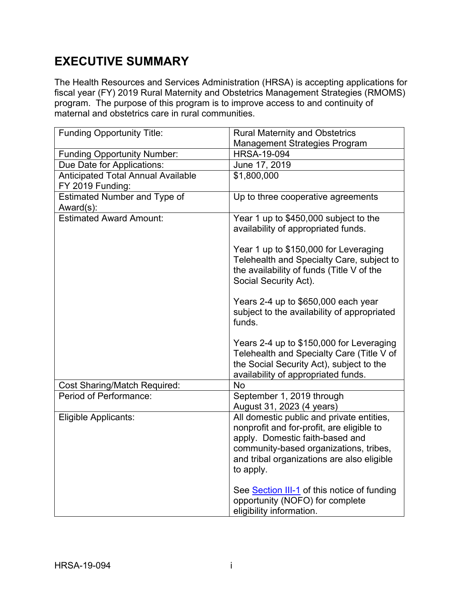# **EXECUTIVE SUMMARY**

The Health Resources and Services Administration (HRSA) is accepting applications for fiscal year (FY) 2019 Rural Maternity and Obstetrics Management Strategies (RMOMS) program. The purpose of this program is to improve access to and continuity of maternal and obstetrics care in rural communities.

| <b>Funding Opportunity Title:</b>                             | <b>Rural Maternity and Obstetrics</b>                                                                                                                                                                                                                                                                                                                                                                                             |
|---------------------------------------------------------------|-----------------------------------------------------------------------------------------------------------------------------------------------------------------------------------------------------------------------------------------------------------------------------------------------------------------------------------------------------------------------------------------------------------------------------------|
|                                                               | <b>Management Strategies Program</b>                                                                                                                                                                                                                                                                                                                                                                                              |
| <b>Funding Opportunity Number:</b>                            | <b>HRSA-19-094</b>                                                                                                                                                                                                                                                                                                                                                                                                                |
| Due Date for Applications:                                    | June 17, 2019                                                                                                                                                                                                                                                                                                                                                                                                                     |
| <b>Anticipated Total Annual Available</b><br>FY 2019 Funding: | \$1,800,000                                                                                                                                                                                                                                                                                                                                                                                                                       |
| <b>Estimated Number and Type of</b><br>Award(s):              | Up to three cooperative agreements                                                                                                                                                                                                                                                                                                                                                                                                |
| <b>Estimated Award Amount:</b>                                | Year 1 up to \$450,000 subject to the<br>availability of appropriated funds.<br>Year 1 up to \$150,000 for Leveraging<br>Telehealth and Specialty Care, subject to<br>the availability of funds (Title V of the<br>Social Security Act).<br>Years 2-4 up to \$650,000 each year<br>subject to the availability of appropriated<br>funds.<br>Years 2-4 up to \$150,000 for Leveraging<br>Telehealth and Specialty Care (Title V of |
|                                                               | the Social Security Act), subject to the<br>availability of appropriated funds.                                                                                                                                                                                                                                                                                                                                                   |
| <b>Cost Sharing/Match Required:</b>                           | No                                                                                                                                                                                                                                                                                                                                                                                                                                |
| Period of Performance:                                        | September 1, 2019 through<br>August 31, 2023 (4 years)                                                                                                                                                                                                                                                                                                                                                                            |
| Eligible Applicants:                                          | All domestic public and private entities,<br>nonprofit and for-profit, are eligible to<br>apply. Domestic faith-based and<br>community-based organizations, tribes,<br>and tribal organizations are also eligible<br>to apply.                                                                                                                                                                                                    |
|                                                               | See Section III-1 of this notice of funding<br>opportunity (NOFO) for complete<br>eligibility information.                                                                                                                                                                                                                                                                                                                        |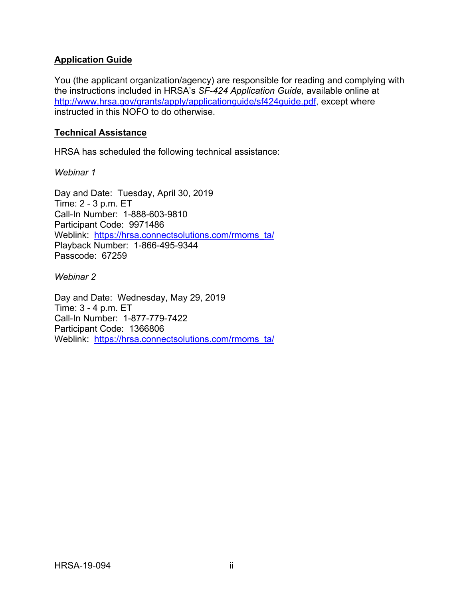#### **Application Guide**

You (the applicant organization/agency) are responsible for reading and complying with the instructions included in HRSA's *SF-424 Application Guide,* available online at [http://www.hrsa.gov/grants/apply/applicationguide/sf424guide.pdf,](http://www.hrsa.gov/grants/apply/applicationguide/sf424guide.pdf) except where instructed in this NOFO to do otherwise.

#### **Technical Assistance**

HRSA has scheduled the following technical assistance:

*Webinar 1*

Day and Date: Tuesday, April 30, 2019 Time: 2 - 3 p.m. ET Call-In Number: 1-888-603-9810 Participant Code: 9971486 Weblink: [https://hrsa.connectsolutions.com/rmoms\\_ta/](https://hrsa.connectsolutions.com/rmoms_ta/) Playback Number: 1-866-495-9344 Passcode: 67259

*Webinar 2*

Day and Date: Wednesday, May 29, 2019 Time: 3 - 4 p.m. ET Call-In Number: 1-877-779-7422 Participant Code: 1366806 Weblink: [https://hrsa.connectsolutions.com/rmoms\\_ta/](https://hrsa.connectsolutions.com/rmoms_ta/)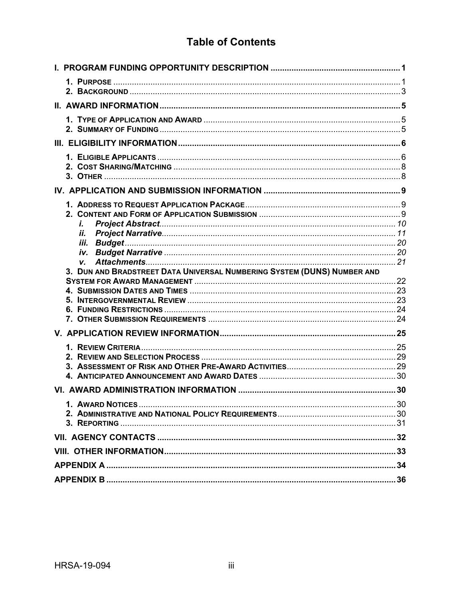## **Table of Contents**

| i.                                                                      |  |
|-------------------------------------------------------------------------|--|
| П.                                                                      |  |
|                                                                         |  |
| V.                                                                      |  |
| 3. DUN AND BRADSTREET DATA UNIVERSAL NUMBERING SYSTEM (DUNS) NUMBER AND |  |
|                                                                         |  |
|                                                                         |  |
|                                                                         |  |
|                                                                         |  |
|                                                                         |  |
|                                                                         |  |
|                                                                         |  |
|                                                                         |  |
|                                                                         |  |
|                                                                         |  |
|                                                                         |  |
|                                                                         |  |
|                                                                         |  |
|                                                                         |  |
|                                                                         |  |
|                                                                         |  |
|                                                                         |  |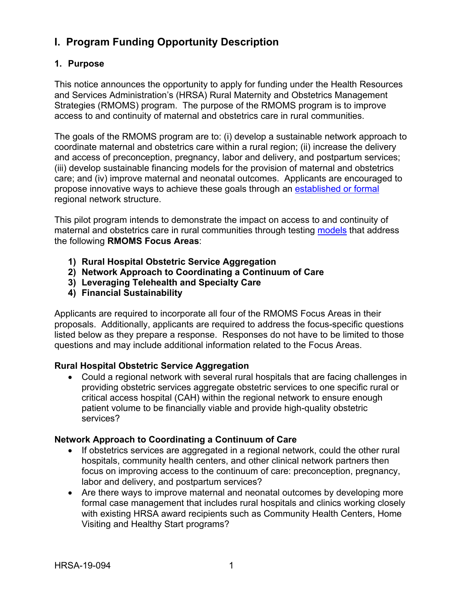## <span id="page-4-0"></span>**I. Program Funding Opportunity Description**

## <span id="page-4-1"></span>**1. Purpose**

This notice announces the opportunity to apply for funding under the Health Resources and Services Administration's (HRSA) Rural Maternity and Obstetrics Management Strategies (RMOMS) program. The purpose of the RMOMS program is to improve access to and continuity of maternal and obstetrics care in rural communities.

The goals of the RMOMS program are to: (i) develop a sustainable network approach to coordinate maternal and obstetrics care within a rural region; (ii) increase the delivery and access of preconception, pregnancy, labor and delivery, and postpartum services; (iii) develop sustainable financing models for the provision of maternal and obstetrics care; and (iv) improve maternal and neonatal outcomes. Applicants are encouraged to propose innovative ways to achieve these goals through an [established](#page-37-1) or formal regional network structure.

This pilot program intends to demonstrate the impact on access to and continuity of maternal and obstetrics care in rural communities through testing [models](#page-37-1) that address the following **RMOMS Focus Areas**:

- **1) Rural Hospital Obstetric Service Aggregation**
- **2) Network Approach to Coordinating a Continuum of Care**
- **3) Leveraging Telehealth and Specialty Care**
- **4) Financial Sustainability**

Applicants are required to incorporate all four of the RMOMS Focus Areas in their proposals. Additionally, applicants are required to address the focus-specific questions listed below as they prepare a response. Responses do not have to be limited to those questions and may include additional information related to the Focus Areas.

## **Rural Hospital Obstetric Service Aggregation**

• Could a regional network with several rural hospitals that are facing challenges in providing obstetric services aggregate obstetric services to one specific rural or critical access hospital (CAH) within the regional network to ensure enough patient volume to be financially viable and provide high-quality obstetric services?

## **Network Approach to Coordinating a Continuum of Care**

- If obstetrics services are aggregated in a regional network, could the other rural hospitals, community health centers, and other clinical network partners then focus on improving access to the continuum of care: preconception, pregnancy, labor and delivery, and postpartum services?
- Are there ways to improve maternal and neonatal outcomes by developing more formal case management that includes rural hospitals and clinics working closely with existing HRSA award recipients such as Community Health Centers, Home Visiting and Healthy Start programs?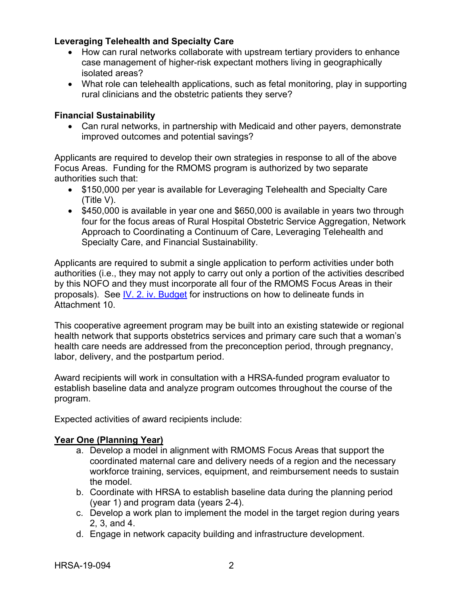#### **Leveraging Telehealth and Specialty Care**

- How can rural networks collaborate with upstream tertiary providers to enhance case management of higher-risk expectant mothers living in geographically isolated areas?
- What role can telehealth applications, such as fetal monitoring, play in supporting rural clinicians and the obstetric patients they serve?

### **Financial Sustainability**

• Can rural networks, in partnership with Medicaid and other payers, demonstrate improved outcomes and potential savings?

Applicants are required to develop their own strategies in response to all of the above Focus Areas. Funding for the RMOMS program is authorized by two separate authorities such that:

- \$150,000 per year is available for Leveraging Telehealth and Specialty Care (Title V).
- \$450,000 is available in year one and \$650,000 is available in years two through four for the focus areas of Rural Hospital Obstetric Service Aggregation, Network Approach to Coordinating a Continuum of Care, Leveraging Telehealth and Specialty Care, and Financial Sustainability.

Applicants are required to submit a single application to perform activities under both authorities (i.e., they may not apply to carry out only a portion of the activities described by this NOFO and they must incorporate all four of the RMOMS Focus Areas in their proposals). See [IV. 2. iv. Budget](#page-23-0) for instructions on how to delineate funds in Attachment 10.

This cooperative agreement program may be built into an existing statewide or regional health network that supports obstetrics services and primary care such that a woman's health care needs are addressed from the preconception period, through pregnancy, labor, delivery, and the postpartum period.

Award recipients will work in consultation with a HRSA-funded program evaluator to establish baseline data and analyze program outcomes throughout the course of the program.

Expected activities of award recipients include:

#### **Year One (Planning Year)**

- a. Develop a model in alignment with RMOMS Focus Areas that support the coordinated maternal care and delivery needs of a region and the necessary workforce training, services, equipment, and reimbursement needs to sustain the model.
- b. Coordinate with HRSA to establish baseline data during the planning period (year 1) and program data (years 2-4).
- c. Develop a work plan to implement the model in the target region during years 2, 3, and 4.
- d. Engage in network capacity building and infrastructure development.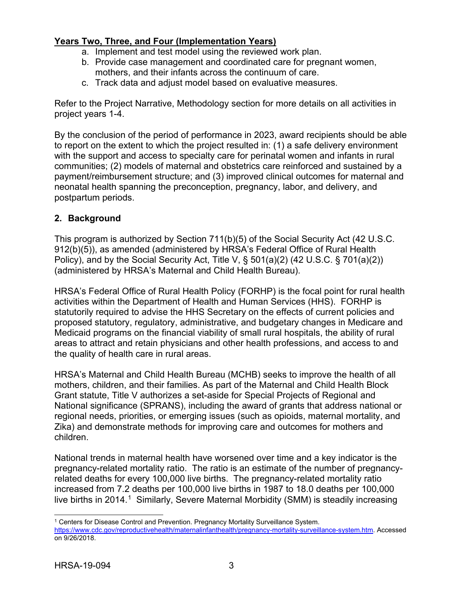## **Years Two, Three, and Four (Implementation Years)**

- a. Implement and test model using the reviewed work plan.
- b. Provide case management and coordinated care for pregnant women, mothers, and their infants across the continuum of care.
- c. Track data and adjust model based on evaluative measures.

Refer to the Project Narrative, Methodology section for more details on all activities in project years 1-4.

By the conclusion of the period of performance in 2023, award recipients should be able to report on the extent to which the project resulted in: (1) a safe delivery environment with the support and access to specialty care for perinatal women and infants in rural communities; (2) models of maternal and obstetrics care reinforced and sustained by a payment/reimbursement structure; and (3) improved clinical outcomes for maternal and neonatal health spanning the preconception, pregnancy, labor, and delivery, and postpartum periods.

## <span id="page-6-0"></span>**2. Background**

This program is authorized by Section 711(b)(5) of the Social Security Act (42 U.S.C. 912(b)(5)), as amended (administered by HRSA's Federal Office of Rural Health Policy), and by the Social Security Act, Title V, § 501(a)(2) (42 U.S.C. § 701(a)(2)) (administered by HRSA's Maternal and Child Health Bureau).

HRSA's Federal Office of Rural Health Policy (FORHP) is the focal point for rural health activities within the Department of Health and Human Services (HHS). FORHP is statutorily required to advise the HHS Secretary on the effects of current policies and proposed statutory, regulatory, administrative, and budgetary changes in Medicare and Medicaid programs on the financial viability of small rural hospitals, the ability of rural areas to attract and retain physicians and other health professions, and access to and the quality of health care in rural areas.

HRSA's Maternal and Child Health Bureau (MCHB) seeks to improve the health of all mothers, children, and their families. As part of the Maternal and Child Health Block Grant statute, Title V authorizes a set-aside for Special Projects of Regional and National significance (SPRANS), including the award of grants that address national or regional needs, priorities, or emerging issues (such as opioids, maternal mortality, and Zika) and demonstrate methods for improving care and outcomes for mothers and children.

National trends in maternal health have worsened over time and a key indicator is the pregnancy-related mortality ratio. The ratio is an estimate of the number of pregnancyrelated deaths for every 100,000 live births. The pregnancy-related mortality ratio increased from 7.2 deaths per 100,000 live births in 1987 to 18.0 deaths per 100,000 live births in 2014.<sup>1</sup> Similarly, Severe Maternal Morbidity (SMM) is steadily increasing

<span id="page-6-1"></span> $\overline{a}$ <sup>1</sup> Centers for Disease Control and Prevention. Pregnancy Mortality Surveillance System. [https://www.cdc.gov/reproductivehealth/maternalinfanthealth/pregnancy-mortality-surveillance-system.htm.](https://www.cdc.gov/reproductivehealth/maternalinfanthealth/pregnancy-mortality-surveillance-system.htm) Accessed on 9/26/2018.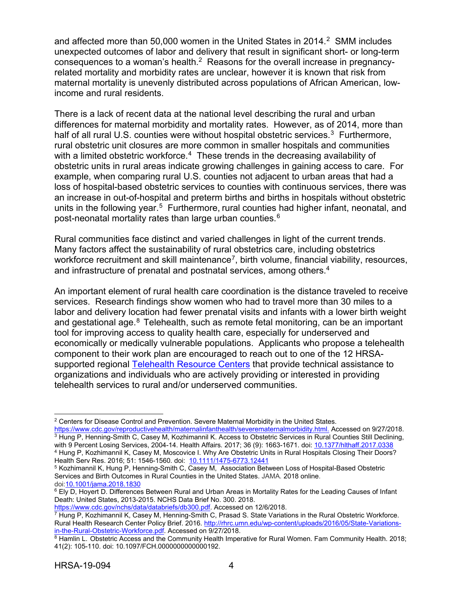and affected more than 50,000 women in the United States in [2](#page-7-0)014.<sup>2</sup> SMM includes unexpected outcomes of labor and delivery that result in significant short- or long-term consequences to a woman's health. $^2$  Reasons for the overall increase in pregnancyrelated mortality and morbidity rates are unclear, however it is known that risk from maternal mortality is unevenly distributed across populations of African American, lowincome and rural residents.

There is a lack of recent data at the national level describing the rural and urban differences for maternal morbidity and mortality rates. However, as of 2014, more than half of all rural U.S. counties were without hospital obstetric services.<sup>[3](#page-7-1)</sup> Furthermore, rural obstetric unit closures are more common in smaller hospitals and communities with a limited obstetric workforce. $^4\,$  These trends in the decreasing availability of obstetric units in rural areas indicate growing challenges in gaining access to care. For example, when comparing rural U.S. counties not adjacent to urban areas that had a loss of hospital-based obstetric services to counties with continuous services, there was an increase in out-of-hospital and preterm births and births in hospitals without obstetric units in the following year.<sup>[5](#page-7-3)</sup> Furthermore, rural counties had higher infant, neonatal, and post-neonatal mortality rates than large urban counties.[6](#page-7-4)

Rural communities face distinct and varied challenges in light of the current trends. Many factors affect the sustainability of rural obstetrics care, including obstetrics workforce recruitment and skill maintenance<sup>[7](#page-7-5)</sup>, birth volume, financial viability, resources, and infrastructure of prenatal and postnatal services, among others. 4

An important element of rural health care coordination is the distance traveled to receive services. Research findings show women who had to travel more than 30 miles to a labor and delivery location had fewer prenatal visits and infants with a lower birth weight and gestational age. $8$  Telehealth, such as remote fetal monitoring, can be an important tool for improving access to quality health care, especially for underserved and economically or medically vulnerable populations. Applicants who propose a telehealth component to their work plan are encouraged to reach out to one of the 12 HRSA-supported regional [Telehealth Resource Centers](http://www.telehealthresourcecenter.org/) that provide technical assistance to organizations and individuals who are actively providing or interested in providing telehealth services to rural and/or underserved communities.

 $\overline{a}$ 

<span id="page-7-0"></span><sup>2</sup> Centers for Disease Control and Prevention. Severe Maternal Morbidity in the United States. [https://www.cdc.gov/reproductivehealth/maternalinfanthealth/severematernalmorbidity.html.](https://www.cdc.gov/reproductivehealth/maternalinfanthealth/severematernalmorbidity.html) Accessed on 9/27/2018.

<span id="page-7-1"></span><sup>&</sup>lt;sup>3</sup> Hung P, Henning-Smith C, Casey M, Kozhimannil K. Access to Obstetric Services in Rural Counties Still Declining, with 9 Percent Losing Services, 2004-14. Health Affairs*.* 2017; 36 (9): 1663-1671. doi[: 10.1377/hlthaff.2017.0338](https://www.healthaffairs.org/doi/10.1377/hlthaff.2017.0338) <sup>4</sup> Hung P, Kozhimannil K, Casey M, Moscovice I. Why Are Obstetric Units in Rural Hospitals Closing Their Doors?

<span id="page-7-2"></span>Health Serv Res. 2016; 51: 1546-1560. doi: [10.1111/1475-6773.12441](https://dx.doi.org/10.1111%2F1475-6773.12441)

<span id="page-7-3"></span><sup>5</sup> Kozhimannil K, Hung P, Henning-Smith C, Casey M, Association Between Loss of Hospital-Based Obstetric Services and Birth Outcomes in Rural Counties in the United States. JAMA*.* 2018 online. doi[:10.1001/jama.2018.1830](https://jamanetwork.com/journals/jama/fullarticle/2674780)

<span id="page-7-4"></span><sup>&</sup>lt;sup>6</sup> Ely D, Hoyert D. Differences Between Rural and Urban Areas in Mortality Rates for the Leading Causes of Infant Death: United States, 2013-2015. NCHS Data Brief No. 300. 2018.<br>https://www.cdc.gov/nchs/data/databriefs/db300.pdf. Accessed on 12/6/2018.

<span id="page-7-5"></span> $\frac{7}{7}$  Hung P, Kozhimannil K, Casey M, Henning-Smith C, Prasad S. State Variations in the Rural Obstetric Workforce. Rural Health Research Center Policy Brief. 2016. [http://rhrc.umn.edu/wp-content/uploads/2016/05/State-Variations](http://rhrc.umn.edu/wp-content/uploads/2016/05/State-Variations-in-the-Rural-Obstetric-Workforce.pdf)[in-the-Rural-Obstetric-Workforce.pdf.](http://rhrc.umn.edu/wp-content/uploads/2016/05/State-Variations-in-the-Rural-Obstetric-Workforce.pdf) Accessed on 9/27/2018.

<span id="page-7-6"></span><sup>8</sup> Hamlin L. Obstetric Access and the Community Health Imperative for Rural Women. Fam Community Health. 2018; 41(2): 105-110. doi: 10.1097/FCH.0000000000000192.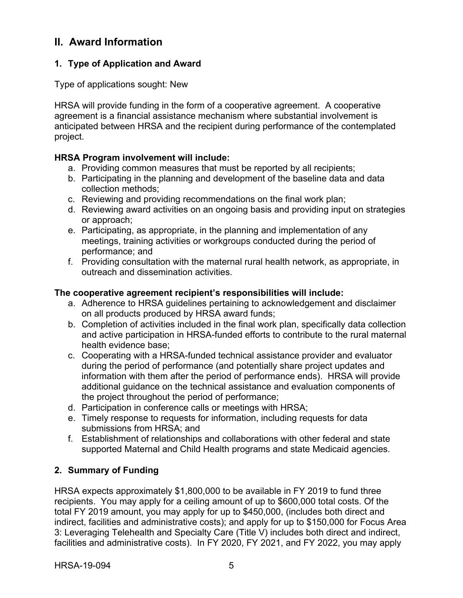## <span id="page-8-0"></span>**II. Award Information**

## <span id="page-8-1"></span>**1. Type of Application and Award**

Type of applications sought: New

HRSA will provide funding in the form of a cooperative agreement. A cooperative agreement is a financial assistance mechanism where substantial involvement is anticipated between HRSA and the recipient during performance of the contemplated project.

## **HRSA Program involvement will include:**

- a. Providing common measures that must be reported by all recipients;
- b. Participating in the planning and development of the baseline data and data collection methods;
- c. Reviewing and providing recommendations on the final work plan;
- d. Reviewing award activities on an ongoing basis and providing input on strategies or approach;
- e. Participating, as appropriate, in the planning and implementation of any meetings, training activities or workgroups conducted during the period of performance; and
- f. Providing consultation with the maternal rural health network, as appropriate, in outreach and dissemination activities.

## **The cooperative agreement recipient's responsibilities will include:**

- a. Adherence to HRSA guidelines pertaining to acknowledgement and disclaimer on all products produced by HRSA award funds;
- b. Completion of activities included in the final work plan, specifically data collection and active participation in HRSA-funded efforts to contribute to the rural maternal health evidence base;
- c. Cooperating with a HRSA-funded technical assistance provider and evaluator during the period of performance (and potentially share project updates and information with them after the period of performance ends). HRSA will provide additional guidance on the technical assistance and evaluation components of the project throughout the period of performance;
- d. Participation in conference calls or meetings with HRSA;
- e. Timely response to requests for information, including requests for data submissions from HRSA; and
- f. Establishment of relationships and collaborations with other federal and state supported Maternal and Child Health programs and state Medicaid agencies.

## <span id="page-8-2"></span>**2. Summary of Funding**

HRSA expects approximately \$1,800,000 to be available in FY 2019 to fund three recipients. You may apply for a ceiling amount of up to \$600,000 total costs. Of the total FY 2019 amount, you may apply for up to \$450,000, (includes both direct and indirect, facilities and administrative costs); and apply for up to \$150,000 for Focus Area 3: Leveraging Telehealth and Specialty Care (Title V) includes both direct and indirect, facilities and administrative costs). In FY 2020, FY 2021, and FY 2022, you may apply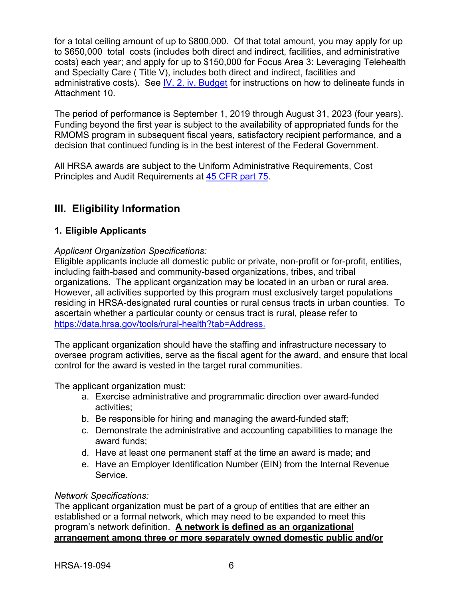for a total ceiling amount of up to \$800,000. Of that total amount, you may apply for up to \$650,000 total costs (includes both direct and indirect, facilities, and administrative costs) each year; and apply for up to \$150,000 for Focus Area 3: Leveraging Telehealth and Specialty Care ( Title V), includes both direct and indirect, facilities and administrative costs). See [IV. 2. iv. Budget](#page-23-0) for instructions on how to delineate funds in Attachment 10.

The period of performance is September 1, 2019 through August 31, 2023 (four years). Funding beyond the first year is subject to the availability of appropriated funds for the RMOMS program in subsequent fiscal years, satisfactory recipient performance, and a decision that continued funding is in the best interest of the Federal Government.

All HRSA awards are subject to the Uniform Administrative Requirements, Cost Principles and Audit Requirements at [45 CFR part 75.](http://www.ecfr.gov/cgi-bin/retrieveECFR?gp=1&SID=4d52364ec83fab994c665943dadf9cf7&ty=HTML&h=L&r=PART&n=pt45.1.75)

## <span id="page-9-1"></span>**III. Eligibility Information**

## <span id="page-9-0"></span>**1. Eligible Applicants**

#### *Applicant Organization Specifications:*

Eligible applicants include all domestic public or private, non-profit or for-profit, entities, including faith-based and community-based organizations, tribes, and tribal organizations. The applicant organization may be located in an urban or rural area. However, all activities supported by this program must exclusively target populations residing in HRSA-designated rural counties or rural census tracts in urban counties. To ascertain whether a particular county or census tract is rural, please refer to [https://data.hrsa.gov/tools/rural-health?tab=Address.](https://data.hrsa.gov/tools/rural-health?tab=Address)

The applicant organization should have the staffing and infrastructure necessary to oversee program activities, serve as the fiscal agent for the award, and ensure that local control for the award is vested in the target rural communities.

The applicant organization must:

- a. Exercise administrative and programmatic direction over award-funded activities;
- b. Be responsible for hiring and managing the award-funded staff;
- c. Demonstrate the administrative and accounting capabilities to manage the award funds;
- d. Have at least one permanent staff at the time an award is made; and
- e. Have an Employer Identification Number (EIN) from the Internal Revenue Service.

#### *Network Specifications:*

The applicant organization must be part of a group of entities that are either an established or a formal network, which may need to be expanded to meet this program's network definition. **A network is defined as an organizational arrangement among three or more separately owned domestic public and/or**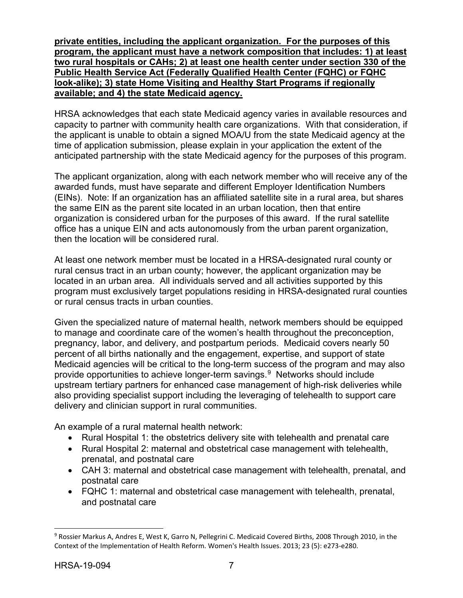**private entities, including the applicant organization. For the purposes of this program, the applicant must have a network composition that includes: 1) at least two rural hospitals or CAHs; 2) at least one health center under section 330 of the Public Health Service Act (Federally Qualified Health Center (FQHC) or FQHC look-alike); 3) state Home Visiting and Healthy Start Programs if regionally available; and 4) the state Medicaid agency.**

HRSA acknowledges that each state Medicaid agency varies in available resources and capacity to partner with community health care organizations. With that consideration, if the applicant is unable to obtain a signed MOA/U from the state Medicaid agency at the time of application submission, please explain in your application the extent of the anticipated partnership with the state Medicaid agency for the purposes of this program.

The applicant organization, along with each network member who will receive any of the awarded funds, must have separate and different Employer Identification Numbers (EINs). Note: If an organization has an affiliated satellite site in a rural area, but shares the same EIN as the parent site located in an urban location, then that entire organization is considered urban for the purposes of this award. If the rural satellite office has a unique EIN and acts autonomously from the urban parent organization, then the location will be considered rural.

At least one network member must be located in a HRSA-designated rural county or rural census tract in an urban county; however, the applicant organization may be located in an urban area. All individuals served and all activities supported by this program must exclusively target populations residing in HRSA-designated rural counties or rural census tracts in urban counties.

Given the specialized nature of maternal health, network members should be equipped to manage and coordinate care of the women's health throughout the preconception, pregnancy, labor, and delivery, and postpartum periods. Medicaid covers nearly 50 percent of all births nationally and the engagement, expertise, and support of state Medicaid agencies will be critical to the long-term success of the program and may also provide opportunities to achieve longer-term savings.[9](#page-10-0) Networks should include upstream tertiary partners for enhanced case management of high-risk deliveries while also providing specialist support including the leveraging of telehealth to support care delivery and clinician support in rural communities.

An example of a rural maternal health network:

- Rural Hospital 1: the obstetrics delivery site with telehealth and prenatal care
- Rural Hospital 2: maternal and obstetrical case management with telehealth, prenatal, and postnatal care
- CAH 3: maternal and obstetrical case management with telehealth, prenatal, and postnatal care
- FQHC 1: maternal and obstetrical case management with telehealth, prenatal, and postnatal care

 $\overline{a}$ 

<span id="page-10-0"></span><sup>9</sup> Rossier Markus A, Andres E, West K, Garro N, Pellegrini C. Medicaid Covered Births, 2008 Through 2010, in the Context of the Implementation of Health Reform. Women's Health Issues. 2013; 23 (5): e273-e280.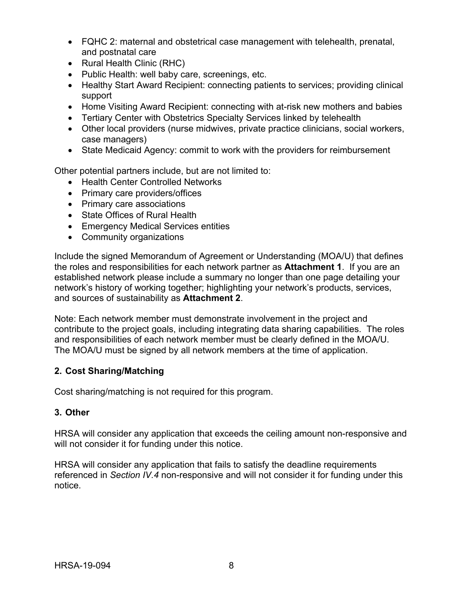- FQHC 2: maternal and obstetrical case management with telehealth, prenatal, and postnatal care
- Rural Health Clinic (RHC)
- Public Health: well baby care, screenings, etc.
- Healthy Start Award Recipient: connecting patients to services; providing clinical support
- Home Visiting Award Recipient: connecting with at-risk new mothers and babies
- Tertiary Center with Obstetrics Specialty Services linked by telehealth
- Other local providers (nurse midwives, private practice clinicians, social workers, case managers)
- State Medicaid Agency: commit to work with the providers for reimbursement

Other potential partners include, but are not limited to:

- Health Center Controlled Networks
- Primary care providers/offices
- Primary care associations
- State Offices of Rural Health
- Emergency Medical Services entities
- Community organizations

Include the signed Memorandum of Agreement or Understanding (MOA/U) that defines the roles and responsibilities for each network partner as **Attachment 1**. If you are an established network please include a summary no longer than one page detailing your network's history of working together; highlighting your network's products, services, and sources of sustainability as **Attachment 2**.

Note: Each network member must demonstrate involvement in the project and contribute to the project goals, including integrating data sharing capabilities. The roles and responsibilities of each network member must be clearly defined in the MOA/U. The MOA/U must be signed by all network members at the time of application.

## <span id="page-11-0"></span>**2. Cost Sharing/Matching**

Cost sharing/matching is not required for this program.

#### <span id="page-11-1"></span>**3. Other**

HRSA will consider any application that exceeds the ceiling amount non-responsive and will not consider it for funding under this notice.

HRSA will consider any application that fails to satisfy the deadline requirements referenced in *Section IV.4* non-responsive and will not consider it for funding under this notice.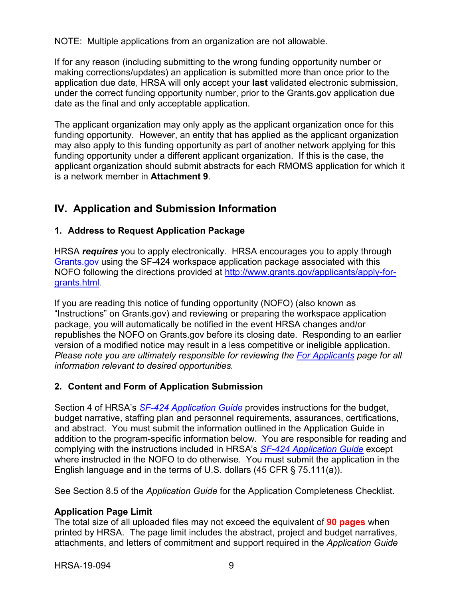NOTE: Multiple applications from an organization are not allowable.

If for any reason (including submitting to the wrong funding opportunity number or making corrections/updates) an application is submitted more than once prior to the application due date, HRSA will only accept your **last** validated electronic submission, under the correct funding opportunity number, prior to the Grants.gov application due date as the final and only acceptable application.

The applicant organization may only apply as the applicant organization once for this funding opportunity. However, an entity that has applied as the applicant organization may also apply to this funding opportunity as part of another network applying for this funding opportunity under a different applicant organization. If this is the case, the applicant organization should submit abstracts for each RMOMS application for which it is a network member in **Attachment 9**.

## <span id="page-12-0"></span>**IV. Application and Submission Information**

## <span id="page-12-1"></span>**1. Address to Request Application Package**

HRSA *requires* you to apply electronically. HRSA encourages you to apply through [Grants.gov](https://www.grants.gov/) using the SF-424 workspace application package associated with this NOFO following the directions provided at [http://www.grants.gov/applicants/apply-for](http://www.grants.gov/applicants/apply-for-grants.html)[grants.html.](http://www.grants.gov/applicants/apply-for-grants.html)

If you are reading this notice of funding opportunity (NOFO) (also known as "Instructions" on Grants.gov) and reviewing or preparing the workspace application package, you will automatically be notified in the event HRSA changes and/or republishes the NOFO on Grants.gov before its closing date. Responding to an earlier version of a modified notice may result in a less competitive or ineligible application. *Please note you are ultimately responsible for reviewing the [For Applicants](https://www.grants.gov/web/grants/applicants.html) page for all information relevant to desired opportunities.*

## <span id="page-12-2"></span>**2. Content and Form of Application Submission**

Section 4 of HRSA's *SF-424 [Application Guide](http://www.hrsa.gov/grants/apply/applicationguide/sf424guide.pdf)* provides instructions for the budget, budget narrative, staffing plan and personnel requirements, assurances, certifications, and abstract. You must submit the information outlined in the Application Guide in addition to the program-specific information below. You are responsible for reading and complying with the instructions included in HRSA's *SF-424 [Application Guide](http://www.hrsa.gov/grants/apply/applicationguide/sf424guide.pdf)* except where instructed in the NOFO to do otherwise. You must submit the application in the English language and in the terms of U.S. dollars (45 CFR § 75.111(a)).

See Section 8.5 of the *Application Guide* for the Application Completeness Checklist.

## **Application Page Limit**

The total size of all uploaded files may not exceed the equivalent of **90 pages** when printed by HRSA. The page limit includes the abstract, project and budget narratives, attachments, and letters of commitment and support required in the *Application Guide*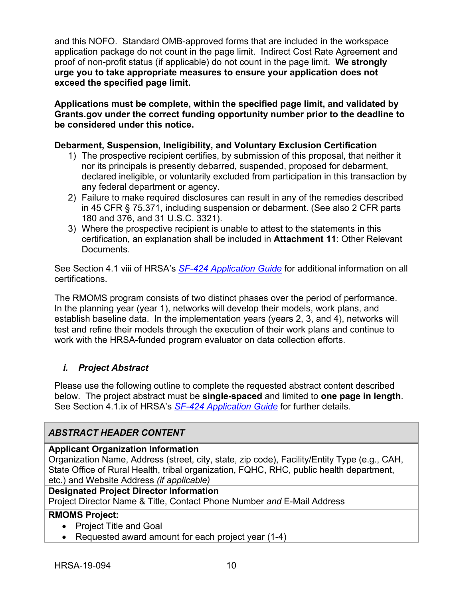and this NOFO. Standard OMB-approved forms that are included in the workspace application package do not count in the page limit. Indirect Cost Rate Agreement and proof of non-profit status (if applicable) do not count in the page limit. **We strongly urge you to take appropriate measures to ensure your application does not exceed the specified page limit.**

**Applications must be complete, within the specified page limit, and validated by Grants.gov under the correct funding opportunity number prior to the deadline to be considered under this notice.**

#### **Debarment, Suspension, Ineligibility, and Voluntary Exclusion Certification**

- 1) The prospective recipient certifies, by submission of this proposal, that neither it nor its principals is presently debarred, suspended, proposed for debarment, declared ineligible, or voluntarily excluded from participation in this transaction by any federal department or agency.
- 2) Failure to make required disclosures can result in any of the remedies described in 45 CFR § 75.371, including suspension or debarment. (See also 2 CFR parts 180 and 376, and 31 U.S.C. 3321).
- 3) Where the prospective recipient is unable to attest to the statements in this certification, an explanation shall be included in **Attachment 11**: Other Relevant Documents.

See Section 4.1 viii of HRSA's *SF-424 [Application Guide](http://www.hrsa.gov/grants/apply/applicationguide/sf424guide.pdf)* for additional information on all certifications.

The RMOMS program consists of two distinct phases over the period of performance. In the planning year (year 1), networks will develop their models, work plans, and establish baseline data. In the implementation years (years 2, 3, and 4), networks will test and refine their models through the execution of their work plans and continue to work with the HRSA-funded program evaluator on data collection efforts.

## <span id="page-13-0"></span>*i. Project Abstract*

Please use the following outline to complete the requested abstract content described below. The project abstract must be **single-spaced** and limited to **one page in length**. See Section 4.1.ix of HRSA's *SF-424 [Application Guide](http://www.hrsa.gov/grants/apply/applicationguide/sf424guide.pdf)* for further details.

## *ABSTRACT HEADER CONTENT*

#### **Applicant Organization Information**

Organization Name, Address (street, city, state, zip code), Facility/Entity Type (e.g., CAH, State Office of Rural Health, tribal organization, FQHC, RHC, public health department, etc.) and Website Address *(if applicable)*

#### **Designated Project Director Information**

Project Director Name & Title, Contact Phone Number *and* E-Mail Address

## **RMOMS Project:**

- Project Title and Goal
- Requested award amount for each project year (1-4)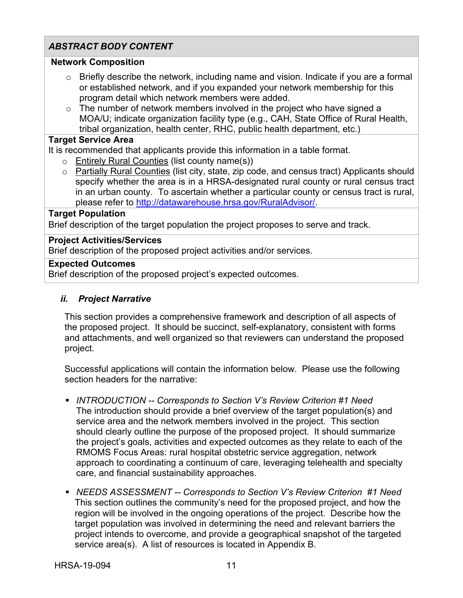## *ABSTRACT BODY CONTENT*

#### **Network Composition**

- $\circ$  Briefly describe the network, including name and vision. Indicate if you are a formal or established network, and if you expanded your network membership for this program detail which network members were added.
- $\circ$  The number of network members involved in the project who have signed a MOA/U; indicate organization facility type (e.g., CAH, State Office of Rural Health, tribal organization, health center, RHC, public health department, etc.)

#### **Target Service Area**

It is recommended that applicants provide this information in a table format.

- o Entirely Rural Counties (list county name(s))
- o Partially Rural Counties (list city, state, zip code, and census tract) Applicants should specify whether the area is in a HRSA-designated rural county or rural census tract in an urban county. To ascertain whether a particular county or census tract is rural, please refer to [http://datawarehouse.hrsa.gov/RuralAdvisor/.](http://datawarehouse.hrsa.gov/RuralAdvisor/)

#### **Target Population**

Brief description of the target population the project proposes to serve and track.

#### **Project Activities/Services**

Brief description of the proposed project activities and/or services.

#### **Expected Outcomes**

Brief description of the proposed project's expected outcomes.

#### <span id="page-14-0"></span>*ii. Project Narrative*

This section provides a comprehensive framework and description of all aspects of the proposed project. It should be succinct, self-explanatory, consistent with forms and attachments, and well organized so that reviewers can understand the proposed project.

Successful applications will contain the information below. Please use the following section headers for the narrative:

- *INTRODUCTION -- Corresponds to Section V's Review Criterion #1 Need* The introduction should provide a brief overview of the target population(s) and service area and the network members involved in the project. This section should clearly outline the purpose of the proposed project. It should summarize the project's goals, activities and expected outcomes as they relate to each of the RMOMS Focus Areas: rural hospital obstetric service aggregation, network approach to coordinating a continuum of care, leveraging telehealth and specialty care, and financial sustainability approaches.
- *NEEDS ASSESSMENT -- Corresponds to Section V's Review Criterion #1 Need* This section outlines the community's need for the proposed project, and how the region will be involved in the ongoing operations of the project. Describe how the target population was involved in determining the need and relevant barriers the project intends to overcome, and provide a geographical snapshot of the targeted service area(s). A list of resources is located in Appendix B.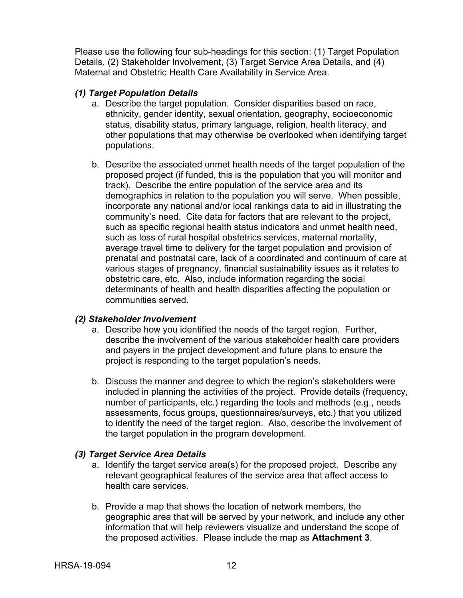Please use the following four sub-headings for this section: (1) Target Population Details, (2) Stakeholder Involvement, (3) Target Service Area Details, and (4) Maternal and Obstetric Health Care Availability in Service Area.

#### *(1) Target Population Details*

- a. Describe the target population. Consider disparities based on race, ethnicity, gender identity, sexual orientation, geography, socioeconomic status, disability status, primary language, religion, health literacy, and other populations that may otherwise be overlooked when identifying target populations.
- b. Describe the associated unmet health needs of the target population of the proposed project (if funded, this is the population that you will monitor and track). Describe the entire population of the service area and its demographics in relation to the population you will serve. When possible, incorporate any national and/or local rankings data to aid in illustrating the community's need. Cite data for factors that are relevant to the project, such as specific regional health status indicators and unmet health need, such as loss of rural hospital obstetrics services, maternal mortality, average travel time to delivery for the target population and provision of prenatal and postnatal care, lack of a coordinated and continuum of care at various stages of pregnancy, financial sustainability issues as it relates to obstetric care, etc. Also, include information regarding the social determinants of health and health disparities affecting the population or communities served.

#### *(2) Stakeholder Involvement*

- a. Describe how you identified the needs of the target region. Further, describe the involvement of the various stakeholder health care providers and payers in the project development and future plans to ensure the project is responding to the target population's needs.
- b. Discuss the manner and degree to which the region's stakeholders were included in planning the activities of the project. Provide details (frequency, number of participants, etc.) regarding the tools and methods (e.g., needs assessments, focus groups, questionnaires/surveys, etc.) that you utilized to identify the need of the target region. Also, describe the involvement of the target population in the program development.

## *(3) Target Service Area Details*

- a. Identify the target service area(s) for the proposed project. Describe any relevant geographical features of the service area that affect access to health care services.
- b. Provide a map that shows the location of network members, the geographic area that will be served by your network, and include any other information that will help reviewers visualize and understand the scope of the proposed activities. Please include the map as **Attachment 3**.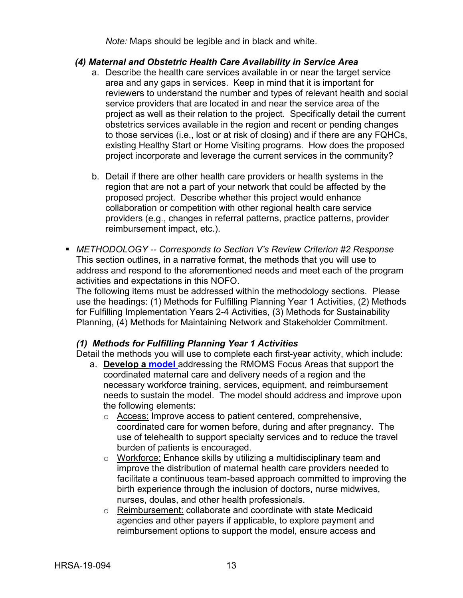*Note:* Maps should be legible and in black and white.

#### *(4) Maternal and Obstetric Health Care Availability in Service Area*

- a. Describe the health care services available in or near the target service area and any gaps in services. Keep in mind that it is important for reviewers to understand the number and types of relevant health and social service providers that are located in and near the service area of the project as well as their relation to the project. Specifically detail the current obstetrics services available in the region and recent or pending changes to those services (i.e., lost or at risk of closing) and if there are any FQHCs, existing Healthy Start or Home Visiting programs. How does the proposed project incorporate and leverage the current services in the community?
- b. Detail if there are other health care providers or health systems in the region that are not a part of your network that could be affected by the proposed project. Describe whether this project would enhance collaboration or competition with other regional health care service providers (e.g., changes in referral patterns, practice patterns, provider reimbursement impact, etc.).
- *METHODOLOGY -- Corresponds to Section V's Review Criterion #2 Response* This section outlines, in a narrative format, the methods that you will use to address and respond to the aforementioned needs and meet each of the program activities and expectations in this NOFO.

The following items must be addressed within the methodology sections. Please use the headings: (1) Methods for Fulfilling Planning Year 1 Activities, (2) Methods for Fulfilling Implementation Years 2-4 Activities, (3) Methods for Sustainability Planning, (4) Methods for Maintaining Network and Stakeholder Commitment.

#### *(1) Methods for Fulfilling Planning Year 1 Activities*

Detail the methods you will use to complete each first-year activity, which include:

- a. **Develop a [model](#page-37-1)** addressing the RMOMS Focus Areas that support the coordinated maternal care and delivery needs of a region and the necessary workforce training, services, equipment, and reimbursement needs to sustain the model. The model should address and improve upon the following elements:
	- o Access: Improve access to patient centered, comprehensive, coordinated care for women before, during and after pregnancy. The use of telehealth to support specialty services and to reduce the travel burden of patients is encouraged.
	- o Workforce: Enhance skills by utilizing a multidisciplinary team and improve the distribution of maternal health care providers needed to facilitate a continuous team-based approach committed to improving the birth experience through the inclusion of doctors, nurse midwives, nurses, doulas, and other health professionals.
	- o Reimbursement: collaborate and coordinate with state Medicaid agencies and other payers if applicable, to explore payment and reimbursement options to support the model, ensure access and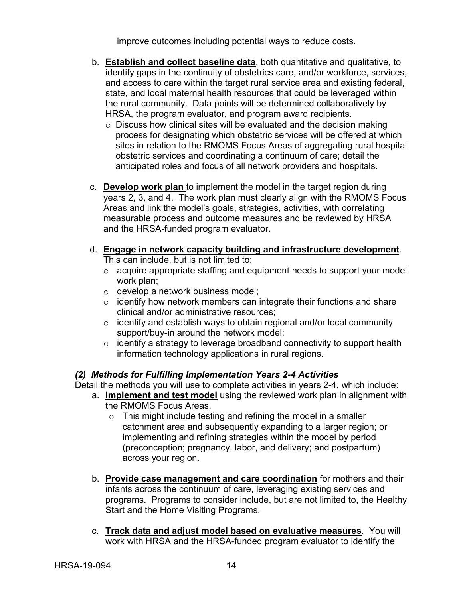improve outcomes including potential ways to reduce costs.

- b. **Establish and collect baseline data**, both quantitative and qualitative, to identify gaps in the continuity of obstetrics care, and/or workforce, services, and access to care within the target rural service area and existing federal, state, and local maternal health resources that could be leveraged within the rural community. Data points will be determined collaboratively by HRSA, the program evaluator, and program award recipients.
	- o Discuss how clinical sites will be evaluated and the decision making process for designating which obstetric services will be offered at which sites in relation to the RMOMS Focus Areas of aggregating rural hospital obstetric services and coordinating a continuum of care; detail the anticipated roles and focus of all network providers and hospitals.
- c. **Develop work plan** to implement the model in the target region during years 2, 3, and 4. The work plan must clearly align with the RMOMS Focus Areas and link the model's goals, strategies, activities, with correlating measurable process and outcome measures and be reviewed by HRSA and the HRSA-funded program evaluator.
- d. **Engage in network capacity building and infrastructure development**. This can include, but is not limited to:
	- o acquire appropriate staffing and equipment needs to support your model work plan;
	- o develop a network business model;
	- $\circ$  identify how network members can integrate their functions and share clinical and/or administrative resources;
	- o identify and establish ways to obtain regional and/or local community support/buy-in around the network model;
	- o identify a strategy to leverage broadband connectivity to support health information technology applications in rural regions.

## *(2) Methods for Fulfilling Implementation Years 2-4 Activities*

Detail the methods you will use to complete activities in years 2-4, which include:

- a. **Implement and test model** using the reviewed work plan in alignment with the RMOMS Focus Areas.
	- $\circ$  This might include testing and refining the model in a smaller catchment area and subsequently expanding to a larger region; or implementing and refining strategies within the model by period (preconception; pregnancy, labor, and delivery; and postpartum) across your region.
- b. **Provide case management and care coordination** for mothers and their infants across the continuum of care, leveraging existing services and programs. Programs to consider include, but are not limited to, the Healthy Start and the Home Visiting Programs.
- c. **Track data and adjust model based on evaluative measures**. You will work with HRSA and the HRSA-funded program evaluator to identify the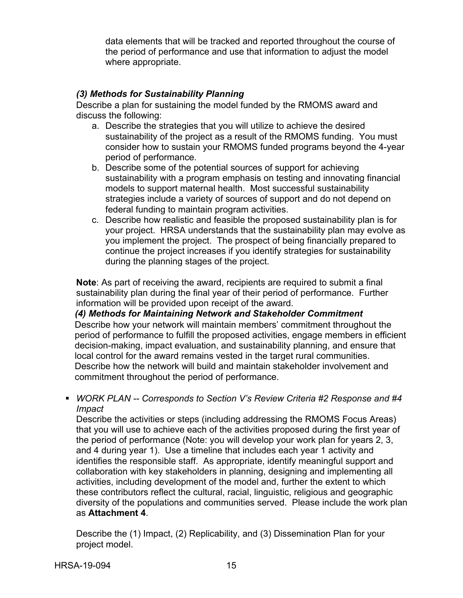data elements that will be tracked and reported throughout the course of the period of performance and use that information to adjust the model where appropriate.

### *(3) Methods for Sustainability Planning*

Describe a plan for sustaining the model funded by the RMOMS award and discuss the following:

- a. Describe the strategies that you will utilize to achieve the desired sustainability of the project as a result of the RMOMS funding. You must consider how to sustain your RMOMS funded programs beyond the 4-year period of performance.
- b. Describe some of the potential sources of support for achieving sustainability with a program emphasis on testing and innovating financial models to support maternal health. Most successful sustainability strategies include a variety of sources of support and do not depend on federal funding to maintain program activities.
- c. Describe how realistic and feasible the proposed sustainability plan is for your project. HRSA understands that the sustainability plan may evolve as you implement the project. The prospect of being financially prepared to continue the project increases if you identify strategies for sustainability during the planning stages of the project.

**Note**: As part of receiving the award, recipients are required to submit a final sustainability plan during the final year of their period of performance. Further information will be provided upon receipt of the award.

*(4) Methods for Maintaining Network and Stakeholder Commitment*

Describe how your network will maintain members' commitment throughout the period of performance to fulfill the proposed activities, engage members in efficient decision-making, impact evaluation, and sustainability planning, and ensure that local control for the award remains vested in the target rural communities. Describe how the network will build and maintain stakeholder involvement and commitment throughout the period of performance.

 *WORK PLAN -- Corresponds to Section V's Review Criteria #2 Response and #4 Impact*

Describe the activities or steps (including addressing the RMOMS Focus Areas) that you will use to achieve each of the activities proposed during the first year of the period of performance (Note: you will develop your work plan for years 2, 3, and 4 during year 1). Use a timeline that includes each year 1 activity and identifies the responsible staff. As appropriate, identify meaningful support and collaboration with key stakeholders in planning, designing and implementing all activities, including development of the model and, further the extent to which these contributors reflect the cultural, racial, linguistic, religious and geographic diversity of the populations and communities served. Please include the work plan as **Attachment 4**.

Describe the (1) Impact, (2) Replicability, and (3) Dissemination Plan for your project model.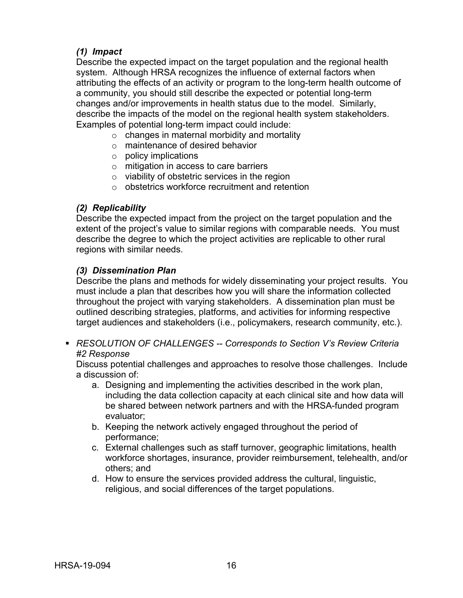## *(1) Impact*

Describe the expected impact on the target population and the regional health system. Although HRSA recognizes the influence of external factors when attributing the effects of an activity or program to the long-term health outcome of a community, you should still describe the expected or potential long-term changes and/or improvements in health status due to the model. Similarly, describe the impacts of the model on the regional health system stakeholders. Examples of potential long-term impact could include:

- $\circ$  changes in maternal morbidity and mortality
- o maintenance of desired behavior
- o policy implications
- o mitigation in access to care barriers
- o viability of obstetric services in the region
- o obstetrics workforce recruitment and retention

#### *(2) Replicability*

Describe the expected impact from the project on the target population and the extent of the project's value to similar regions with comparable needs. You must describe the degree to which the project activities are replicable to other rural regions with similar needs.

#### *(3) Dissemination Plan*

Describe the plans and methods for widely disseminating your project results. You must include a plan that describes how you will share the information collected throughout the project with varying stakeholders. A dissemination plan must be outlined describing strategies, platforms, and activities for informing respective target audiences and stakeholders (i.e., policymakers, research community, etc.).

 *RESOLUTION OF CHALLENGES -- Corresponds to Section V's Review Criteria #2 Response*

Discuss potential challenges and approaches to resolve those challenges. Include a discussion of:

- a. Designing and implementing the activities described in the work plan, including the data collection capacity at each clinical site and how data will be shared between network partners and with the HRSA-funded program evaluator;
- b. Keeping the network actively engaged throughout the period of performance;
- c. External challenges such as staff turnover, geographic limitations, health workforce shortages, insurance, provider reimbursement, telehealth, and/or others; and
- d. How to ensure the services provided address the cultural, linguistic, religious, and social differences of the target populations.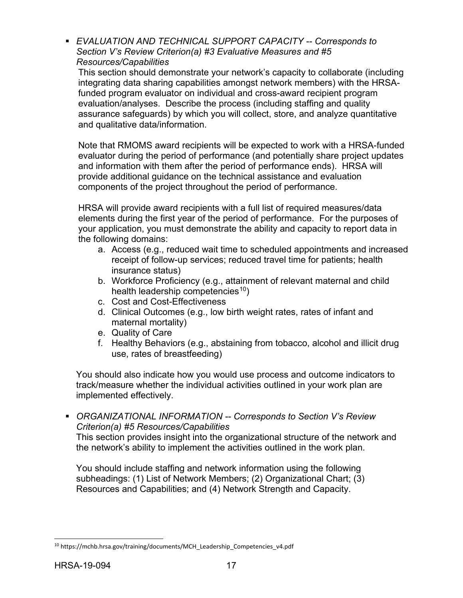*EVALUATION AND TECHNICAL SUPPORT CAPACITY -- Corresponds to Section V's Review Criterion(a) #3 Evaluative Measures and #5 Resources/Capabilities*

This section should demonstrate your network's capacity to collaborate (including integrating data sharing capabilities amongst network members) with the HRSAfunded program evaluator on individual and cross-award recipient program evaluation/analyses. Describe the process (including staffing and quality assurance safeguards) by which you will collect, store, and analyze quantitative and qualitative data/information.

Note that RMOMS award recipients will be expected to work with a HRSA-funded evaluator during the period of performance (and potentially share project updates and information with them after the period of performance ends). HRSA will provide additional guidance on the technical assistance and evaluation components of the project throughout the period of performance.

HRSA will provide award recipients with a full list of required measures/data elements during the first year of the period of performance. For the purposes of your application, you must demonstrate the ability and capacity to report data in the following domains:

- a. Access (e.g., reduced wait time to scheduled appointments and increased receipt of follow-up services; reduced travel time for patients; health insurance status)
- b. Workforce Proficiency (e.g., attainment of relevant maternal and child health leadership competencies<sup>10</sup>)
- c. Cost and Cost-Effectiveness
- d. Clinical Outcomes (e.g., low birth weight rates, rates of infant and maternal mortality)
- e. Quality of Care
- f. Healthy Behaviors (e.g., abstaining from tobacco, alcohol and illicit drug use, rates of breastfeeding)

You should also indicate how you would use process and outcome indicators to track/measure whether the individual activities outlined in your work plan are implemented effectively.

 *ORGANIZATIONAL INFORMATION -- Corresponds to Section V's Review Criterion(a) #5 Resources/Capabilities*

This section provides insight into the organizational structure of the network and the network's ability to implement the activities outlined in the work plan.

You should include staffing and network information using the following subheadings: (1) List of Network Members; (2) Organizational Chart; (3) Resources and Capabilities; and (4) Network Strength and Capacity.

<span id="page-20-0"></span> $\overline{a}$ <sup>10</sup> https://mchb.hrsa.gov/training/documents/MCH\_Leadership\_Competencies\_v4.pdf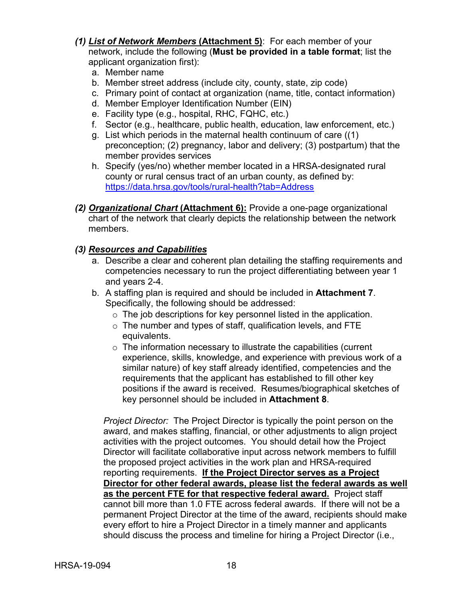- *(1) List of Network Members* **(Attachment 5)**: For each member of your network, include the following (**Must be provided in a table format**; list the applicant organization first):
	- a. Member name
	- b. Member street address (include city, county, state, zip code)
	- c. Primary point of contact at organization (name, title, contact information)
	- d. Member Employer Identification Number (EIN)
	- e. Facility type (e.g., hospital, RHC, FQHC, etc.)
	- f. Sector (e.g., healthcare, public health, education, law enforcement, etc.)
	- g. List which periods in the maternal health continuum of care ((1) preconception; (2) pregnancy, labor and delivery; (3) postpartum) that the member provides services
	- h. Specify (yes/no) whether member located in a HRSA-designated rural county or rural census tract of an urban county, as defined by: <https://data.hrsa.gov/tools/rural-health?tab=Address>
- *(2) Organizational Chart* **(Attachment 6):** Provide a one-page organizational chart of the network that clearly depicts the relationship between the network members.

#### *(3) Resources and Capabilities*

- a. Describe a clear and coherent plan detailing the staffing requirements and competencies necessary to run the project differentiating between year 1 and years 2-4.
- b. A staffing plan is required and should be included in **Attachment 7**. Specifically, the following should be addressed:
	- $\circ$  The job descriptions for key personnel listed in the application.
	- o The number and types of staff, qualification levels, and FTE equivalents.
	- $\circ$  The information necessary to illustrate the capabilities (current experience, skills, knowledge, and experience with previous work of a similar nature) of key staff already identified, competencies and the requirements that the applicant has established to fill other key positions if the award is received. Resumes/biographical sketches of key personnel should be included in **Attachment 8**.

*Project Director:* The Project Director is typically the point person on the award, and makes staffing, financial, or other adjustments to align project activities with the project outcomes. You should detail how the Project Director will facilitate collaborative input across network members to fulfill the proposed project activities in the work plan and HRSA-required reporting requirements. **If the Project Director serves as a Project Director for other federal awards, please list the federal awards as well as the percent FTE for that respective federal award.** Project staff cannot bill more than 1.0 FTE across federal awards. If there will not be a permanent Project Director at the time of the award, recipients should make every effort to hire a Project Director in a timely manner and applicants should discuss the process and timeline for hiring a Project Director (i.e.,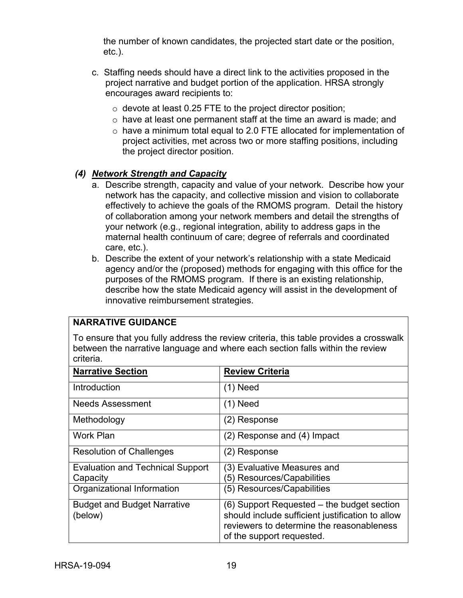the number of known candidates, the projected start date or the position, etc.).

- c. Staffing needs should have a direct link to the activities proposed in the project narrative and budget portion of the application. HRSA strongly encourages award recipients to:
	- $\circ$  devote at least 0.25 FTE to the project director position;
	- o have at least one permanent staff at the time an award is made; and
	- o have a minimum total equal to 2.0 FTE allocated for implementation of project activities, met across two or more staffing positions, including the project director position.

## *(4) Network Strength and Capacity*

- a. Describe strength, capacity and value of your network. Describe how your network has the capacity, and collective mission and vision to collaborate effectively to achieve the goals of the RMOMS program. Detail the history of collaboration among your network members and detail the strengths of your network (e.g., regional integration, ability to address gaps in the maternal health continuum of care; degree of referrals and coordinated care, etc.).
- b. Describe the extent of your network's relationship with a state Medicaid agency and/or the (proposed) methods for engaging with this office for the purposes of the RMOMS program. If there is an existing relationship, describe how the state Medicaid agency will assist in the development of innovative reimbursement strategies.

## **NARRATIVE GUIDANCE**

To ensure that you fully address the review criteria, this table provides a crosswalk between the narrative language and where each section falls within the review criteria.

| <b>Narrative Section</b>                      | <b>Review Criteria</b>                                                                                                                                                   |
|-----------------------------------------------|--------------------------------------------------------------------------------------------------------------------------------------------------------------------------|
| Introduction                                  | $(1)$ Need                                                                                                                                                               |
| Needs Assessment                              | $(1)$ Need                                                                                                                                                               |
| Methodology                                   | (2) Response                                                                                                                                                             |
| <b>Work Plan</b>                              | (2) Response and (4) Impact                                                                                                                                              |
| <b>Resolution of Challenges</b>               | (2) Response                                                                                                                                                             |
| <b>Evaluation and Technical Support</b>       | (3) Evaluative Measures and                                                                                                                                              |
| Capacity                                      | (5) Resources/Capabilities                                                                                                                                               |
| Organizational Information                    | (5) Resources/Capabilities                                                                                                                                               |
| <b>Budget and Budget Narrative</b><br>(below) | (6) Support Requested – the budget section<br>should include sufficient justification to allow<br>reviewers to determine the reasonableness<br>of the support requested. |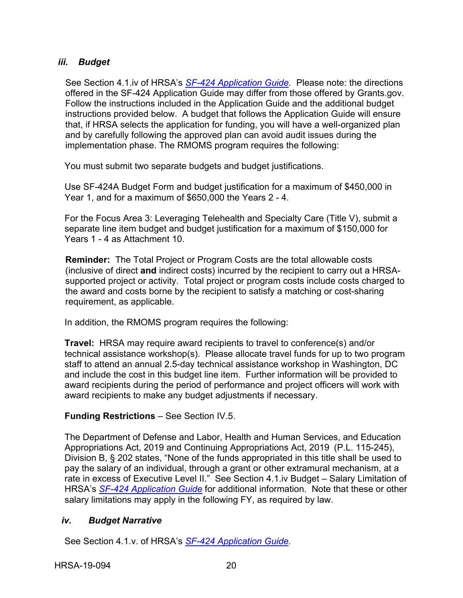### <span id="page-23-0"></span>*iii. Budget*

See Section 4.1.iv of HRSA's *SF-424 [Application Guide.](http://www.hrsa.gov/grants/apply/applicationguide/sf424guide.pdf)* Please note: the directions offered in the SF-424 Application Guide may differ from those offered by Grants.gov. Follow the instructions included in the Application Guide and the additional budget instructions provided below. A budget that follows the Application Guide will ensure that, if HRSA selects the application for funding, you will have a well-organized plan and by carefully following the approved plan can avoid audit issues during the implementation phase. The RMOMS program requires the following:

You must submit two separate budgets and budget justifications.

Use SF-424A Budget Form and budget justification for a maximum of \$450,000 in Year 1, and for a maximum of \$650,000 the Years 2 - 4.

For the Focus Area 3: Leveraging Telehealth and Specialty Care (Title V), submit a separate line item budget and budget justification for a maximum of \$150,000 for Years 1 - 4 as Attachment 10.

**Reminder:** The Total Project or Program Costs are the total allowable costs (inclusive of direct **and** indirect costs) incurred by the recipient to carry out a HRSAsupported project or activity. Total project or program costs include costs charged to the award and costs borne by the recipient to satisfy a matching or cost-sharing requirement, as applicable.

In addition, the RMOMS program requires the following:

**Travel:** HRSA may require award recipients to travel to conference(s) and/or technical assistance workshop(s). Please allocate travel funds for up to two program staff to attend an annual 2.5-day technical assistance workshop in Washington, DC and include the cost in this budget line item. Further information will be provided to award recipients during the period of performance and project officers will work with award recipients to make any budget adjustments if necessary.

#### **Funding Restrictions** – See Section IV.5.

The Department of Defense and Labor, Health and Human Services, and Education Appropriations Act, 2019 and Continuing Appropriations Act, 2019 (P.L. 115-245), Division B, § 202 states, "None of the funds appropriated in this title shall be used to pay the salary of an individual, through a grant or other extramural mechanism, at a rate in excess of Executive Level II." See Section 4.1.iv Budget – Salary Limitation of HRSA's *SF-424 [Application Guide](http://www.hrsa.gov/grants/apply/applicationguide/sf424guide.pdf)* for additional information. Note that these or other salary limitations may apply in the following FY, as required by law.

#### <span id="page-23-1"></span>*iv. Budget Narrative*

See Section 4.1.v. of HRSA's *SF-424 [Application Guide.](http://www.hrsa.gov/grants/apply/applicationguide/sf424guide.pdf)*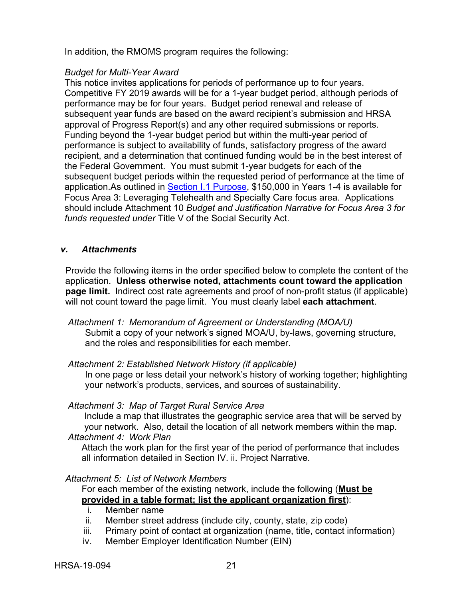In addition, the RMOMS program requires the following:

#### *Budget for Multi-Year Award*

This notice invites applications for periods of performance up to four years. Competitive FY 2019 awards will be for a 1-year budget period, although periods of performance may be for four years. Budget period renewal and release of subsequent year funds are based on the award recipient's submission and HRSA approval of Progress Report(s) and any other required submissions or reports. Funding beyond the 1-year budget period but within the multi-year period of performance is subject to availability of funds, satisfactory progress of the award recipient, and a determination that continued funding would be in the best interest of the Federal Government. You must submit 1-year budgets for each of the subsequent budget periods within the requested period of performance at the time of application.As outlined in [Section I.1 Purpose,](#page-4-1) \$150,000 in Years 1-4 is available for Focus Area 3: Leveraging Telehealth and Specialty Care focus area. Applications should include Attachment 10 *Budget and Justification Narrative for Focus Area 3 for funds requested under* Title V of the Social Security Act.

#### <span id="page-24-0"></span>*v. Attachments*

Provide the following items in the order specified below to complete the content of the application. **Unless otherwise noted, attachments count toward the application page limit.** Indirect cost rate agreements and proof of non-profit status (if applicable) will not count toward the page limit. You must clearly label **each attachment**.

- *Attachment 1: Memorandum of Agreement or Understanding (MOA/U)*  Submit a copy of your network's signed MOA/U, by-laws, governing structure, and the roles and responsibilities for each member.
- *Attachment 2: Established Network History (if applicable)*

In one page or less detail your network's history of working together; highlighting your network's products, services, and sources of sustainability.

#### *Attachment 3: Map of Target Rural Service Area*

Include a map that illustrates the geographic service area that will be served by your network. Also, detail the location of all network members within the map. *Attachment 4: Work Plan*

Attach the work plan for the first year of the period of performance that includes all information detailed in Section IV. ii. Project Narrative.

#### *Attachment 5: List of Network Members*

For each member of the existing network, include the following (**Must be provided in a table format; list the applicant organization first**):

- i. Member name
- ii. Member street address (include city, county, state, zip code)
- iii. Primary point of contact at organization (name, title, contact information)
- iv. Member Employer Identification Number (EIN)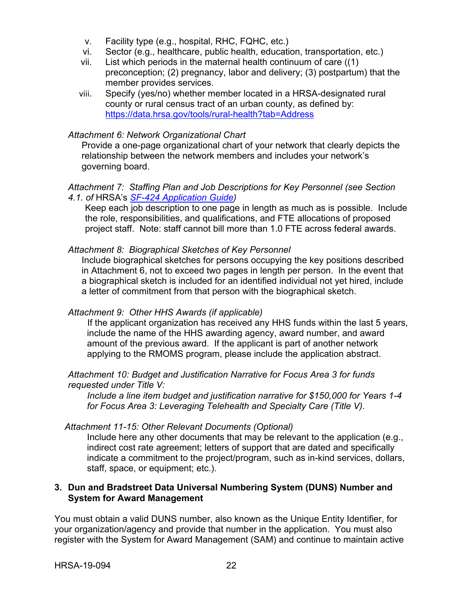- v. Facility type (e.g., hospital, RHC, FQHC, etc.)
- vi. Sector (e.g., healthcare, public health, education, transportation, etc.)
- vii. List which periods in the maternal health continuum of care ((1) preconception; (2) pregnancy, labor and delivery; (3) postpartum) that the member provides services.
- viii. Specify (yes/no) whether member located in a HRSA-designated rural county or rural census tract of an urban county, as defined by: <https://data.hrsa.gov/tools/rural-health?tab=Address>

#### *Attachment 6: Network Organizational Chart*

Provide a one-page organizational chart of your network that clearly depicts the relationship between the network members and includes your network's governing board.

#### *Attachment 7: Staffing Plan and Job Descriptions for Key Personnel (see Section 4.1. of* HRSA's *SF-424 [Application Guide\)](http://www.hrsa.gov/grants/apply/applicationguide/sf424guide.pdf)*

Keep each job description to one page in length as much as is possible. Include the role, responsibilities, and qualifications, and FTE allocations of proposed project staff. Note: staff cannot bill more than 1.0 FTE across federal awards.

#### *Attachment 8: Biographical Sketches of Key Personnel*

Include biographical sketches for persons occupying the key positions described in Attachment 6, not to exceed two pages in length per person. In the event that a biographical sketch is included for an identified individual not yet hired, include a letter of commitment from that person with the biographical sketch.

#### *Attachment 9: Other HHS Awards (if applicable)*

If the applicant organization has received any HHS funds within the last 5 years, include the name of the HHS awarding agency, award number, and award amount of the previous award. If the applicant is part of another network applying to the RMOMS program, please include the application abstract.

#### *Attachment 10: Budget and Justification Narrative for Focus Area 3 for funds requested under Title V:*

*Include a line item budget and justification narrative for \$150,000 for Years 1-4 for Focus Area 3: Leveraging Telehealth and Specialty Care (Title V).* 

## *Attachment 11-15: Other Relevant Documents (Optional)*

Include here any other documents that may be relevant to the application (e.g., indirect cost rate agreement; letters of support that are dated and specifically indicate a commitment to the project/program, such as in-kind services, dollars, staff, space, or equipment; etc.).

#### <span id="page-25-0"></span>**3. Dun and Bradstreet Data Universal Numbering System (DUNS) Number and System for Award Management**

You must obtain a valid DUNS number, also known as the Unique Entity Identifier, for your organization/agency and provide that number in the application. You must also register with the System for Award Management (SAM) and continue to maintain active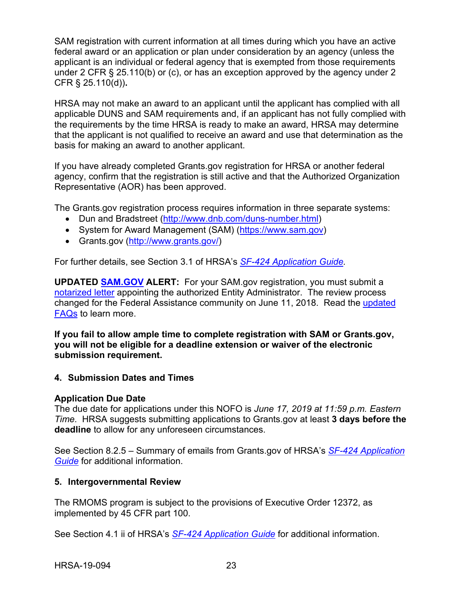SAM registration with current information at all times during which you have an active federal award or an application or plan under consideration by an agency (unless the applicant is an individual or federal agency that is exempted from those requirements under 2 CFR § 25.110(b) or (c), or has an exception approved by the agency under 2 CFR § 25.110(d))**.**

HRSA may not make an award to an applicant until the applicant has complied with all applicable DUNS and SAM requirements and, if an applicant has not fully complied with the requirements by the time HRSA is ready to make an award, HRSA may determine that the applicant is not qualified to receive an award and use that determination as the basis for making an award to another applicant.

If you have already completed Grants.gov registration for HRSA or another federal agency, confirm that the registration is still active and that the Authorized Organization Representative (AOR) has been approved.

The Grants.gov registration process requires information in three separate systems:

- Dun and Bradstreet [\(http://www.dnb.com/duns-number.html\)](http://www.dnb.com/duns-number.html)
- System for Award Management (SAM) [\(https://www.sam.gov\)](https://www.sam.gov/)
- Grants.gov [\(http://www.grants.gov/\)](http://www.grants.gov/)

For further details, see Section 3.1 of HRSA's *SF-424 [Application Guide.](http://www.hrsa.gov/grants/apply/applicationguide/sf424guide.pdf)*

**UPDATED [SAM.GOV](http://sam.gov/) ALERT:** For your SAM.gov registration, you must submit a [notarized letter](https://www.fsd.gov/fsd-gov/answer.do?sysparm_kbid=d2e67885db0d5f00b3257d321f96194b&sysparm_search=kb0013183) appointing the authorized Entity Administrator. The review process changed for the Federal Assistance community on June 11, 2018. Read the [updated](https://www.gsa.gov/about-us/organization/federal-acquisition-service/office-of-systems-management/integrated-award-environment-iae/sam-update)  [FAQs](https://www.gsa.gov/about-us/organization/federal-acquisition-service/office-of-systems-management/integrated-award-environment-iae/sam-update) to learn more.

**If you fail to allow ample time to complete registration with SAM or Grants.gov, you will not be eligible for a deadline extension or waiver of the electronic submission requirement.**

#### <span id="page-26-0"></span>**4. Submission Dates and Times**

#### **Application Due Date**

The due date for applications under this NOFO is *June 17, 2019 at 11:59 p.m. Eastern Time*. HRSA suggests submitting applications to Grants.gov at least **3 days before the deadline** to allow for any unforeseen circumstances.

See Section 8.2.5 – Summary of emails from Grants.gov of HRSA's *[SF-424 Application](http://www.hrsa.gov/grants/apply/applicationguide/sf424guide.pdf)  [Guide](http://www.hrsa.gov/grants/apply/applicationguide/sf424guide.pdf)* for additional information.

#### <span id="page-26-1"></span>**5. Intergovernmental Review**

The RMOMS program is subject to the provisions of Executive Order 12372, as implemented by 45 CFR part 100.

See Section 4.1 ii of HRSA's *SF-424 [Application Guide](http://www.hrsa.gov/grants/apply/applicationguide/sf424guide.pdf)* for additional information.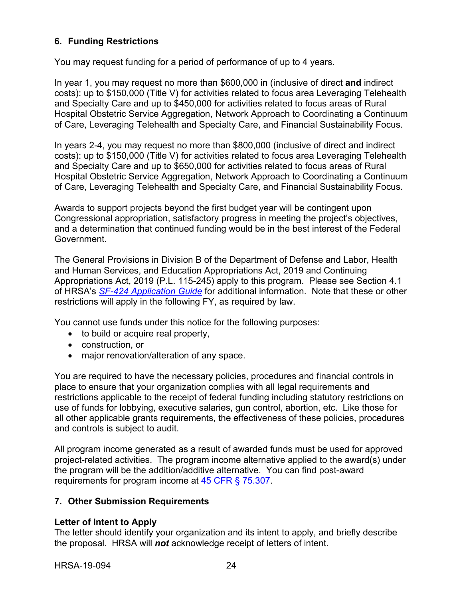## <span id="page-27-0"></span>**6. Funding Restrictions**

You may request funding for a period of performance of up to 4 years.

In year 1, you may request no more than \$600,000 in (inclusive of direct **and** indirect costs): up to \$150,000 (Title V) for activities related to focus area Leveraging Telehealth and Specialty Care and up to \$450,000 for activities related to focus areas of Rural Hospital Obstetric Service Aggregation, Network Approach to Coordinating a Continuum of Care, Leveraging Telehealth and Specialty Care, and Financial Sustainability Focus.

In years 2-4, you may request no more than \$800,000 (inclusive of direct and indirect costs): up to \$150,000 (Title V) for activities related to focus area Leveraging Telehealth and Specialty Care and up to \$650,000 for activities related to focus areas of Rural Hospital Obstetric Service Aggregation, Network Approach to Coordinating a Continuum of Care, Leveraging Telehealth and Specialty Care, and Financial Sustainability Focus.

Awards to support projects beyond the first budget year will be contingent upon Congressional appropriation, satisfactory progress in meeting the project's objectives, and a determination that continued funding would be in the best interest of the Federal Government.

The General Provisions in Division B of the Department of Defense and Labor, Health and Human Services, and Education Appropriations Act, 2019 and Continuing Appropriations Act, 2019 (P.L. 115-245) apply to this program. Please see Section 4.1 of HRSA's *SF-424 [Application Guide](http://www.hrsa.gov/grants/apply/applicationguide/sf424guide.pdf)* for additional information. Note that these or other restrictions will apply in the following FY, as required by law.

You cannot use funds under this notice for the following purposes:

- to build or acquire real property,
- construction, or
- major renovation/alteration of any space.

You are required to have the necessary policies, procedures and financial controls in place to ensure that your organization complies with all legal requirements and restrictions applicable to the receipt of federal funding including statutory restrictions on use of funds for lobbying, executive salaries, gun control, abortion, etc. Like those for all other applicable grants requirements, the effectiveness of these policies, procedures and controls is subject to audit.

All program income generated as a result of awarded funds must be used for approved project-related activities. The program income alternative applied to the award(s) under the program will be the addition/additive alternative. You can find post-award requirements for program income at [45 CFR § 75.307.](https://www.ecfr.gov/cgi-bin/retrieveECFR?gp=1&SID=4d52364ec83fab994c665943dadf9cf7&ty=HTML&h=L&r=PART&n=pt45.1.75)

## <span id="page-27-1"></span>**7. Other Submission Requirements**

## **Letter of Intent to Apply**

The letter should identify your organization and its intent to apply, and briefly describe the proposal. HRSA will *not* acknowledge receipt of letters of intent.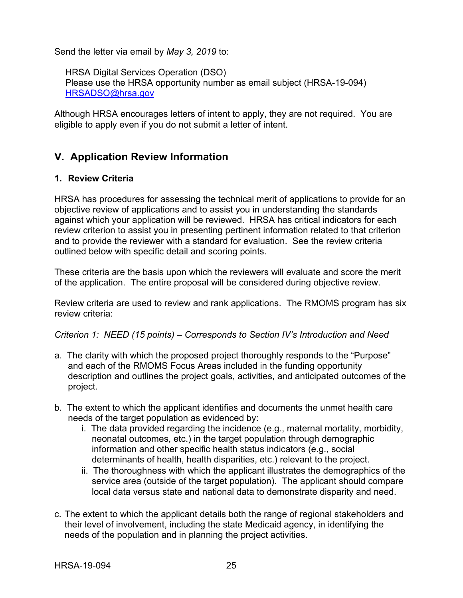Send the letter via email by *May 3, 2019* to:

HRSA Digital Services Operation (DSO) Please use the HRSA opportunity number as email subject (HRSA-19-094) [HRSADSO@hrsa.gov](mailto:HRSADSO@hrsa.gov)

Although HRSA encourages letters of intent to apply, they are not required. You are eligible to apply even if you do not submit a letter of intent.

## <span id="page-28-0"></span>**V. Application Review Information**

## <span id="page-28-1"></span>**1. Review Criteria**

HRSA has procedures for assessing the technical merit of applications to provide for an objective review of applications and to assist you in understanding the standards against which your application will be reviewed. HRSA has critical indicators for each review criterion to assist you in presenting pertinent information related to that criterion and to provide the reviewer with a standard for evaluation. See the review criteria outlined below with specific detail and scoring points.

These criteria are the basis upon which the reviewers will evaluate and score the merit of the application. The entire proposal will be considered during objective review.

Review criteria are used to review and rank applications. The RMOMS program has six review criteria:

## *Criterion 1: NEED (15 points) – Corresponds to Section IV's Introduction and Need*

- a. The clarity with which the proposed project thoroughly responds to the "Purpose" and each of the RMOMS Focus Areas included in the funding opportunity description and outlines the project goals, activities, and anticipated outcomes of the project.
- b. The extent to which the applicant identifies and documents the unmet health care needs of the target population as evidenced by:
	- i. The data provided regarding the incidence (e.g., maternal mortality, morbidity, neonatal outcomes, etc.) in the target population through demographic information and other specific health status indicators (e.g., social determinants of health, health disparities, etc.) relevant to the project.
	- ii. The thoroughness with which the applicant illustrates the demographics of the service area (outside of the target population). The applicant should compare local data versus state and national data to demonstrate disparity and need.
- c. The extent to which the applicant details both the range of regional stakeholders and their level of involvement, including the state Medicaid agency, in identifying the needs of the population and in planning the project activities.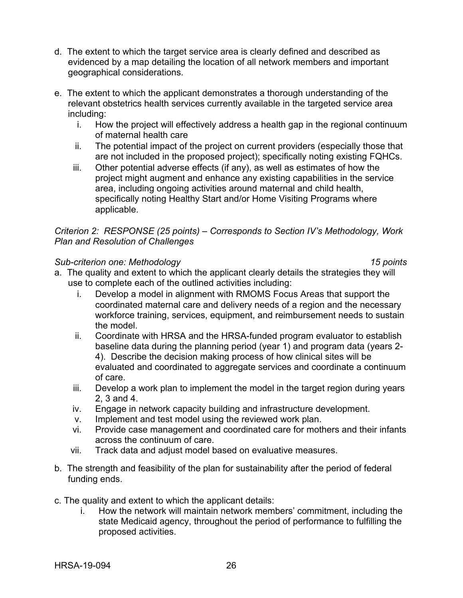- d. The extent to which the target service area is clearly defined and described as evidenced by a map detailing the location of all network members and important geographical considerations.
- e. The extent to which the applicant demonstrates a thorough understanding of the relevant obstetrics health services currently available in the targeted service area including:
	- i. How the project will effectively address a health gap in the regional continuum of maternal health care
	- ii. The potential impact of the project on current providers (especially those that are not included in the proposed project); specifically noting existing FQHCs.
	- iii. Other potential adverse effects (if any), as well as estimates of how the project might augment and enhance any existing capabilities in the service area, including ongoing activities around maternal and child health, specifically noting Healthy Start and/or Home Visiting Programs where applicable.

*Criterion 2: RESPONSE (25 points) – Corresponds to Section IV's Methodology, Work Plan and Resolution of Challenges*

#### *Sub-criterion one: Methodology 15 points*

- a. The quality and extent to which the applicant clearly details the strategies they will use to complete each of the outlined activities including:
	- i. Develop a model in alignment with RMOMS Focus Areas that support the coordinated maternal care and delivery needs of a region and the necessary workforce training, services, equipment, and reimbursement needs to sustain the model
	- ii. Coordinate with HRSA and the HRSA-funded program evaluator to establish baseline data during the planning period (year 1) and program data (years 2- 4). Describe the decision making process of how clinical sites will be evaluated and coordinated to aggregate services and coordinate a continuum of care.
	- iii. Develop a work plan to implement the model in the target region during years 2, 3 and 4.
	- iv. Engage in network capacity building and infrastructure development.
	- v. Implement and test model using the reviewed work plan.
	- vi. Provide case management and coordinated care for mothers and their infants across the continuum of care.
	- vii. Track data and adjust model based on evaluative measures.
- b. The strength and feasibility of the plan for sustainability after the period of federal funding ends.
- c. The quality and extent to which the applicant details:
	- i. How the network will maintain network members' commitment, including the state Medicaid agency, throughout the period of performance to fulfilling the proposed activities.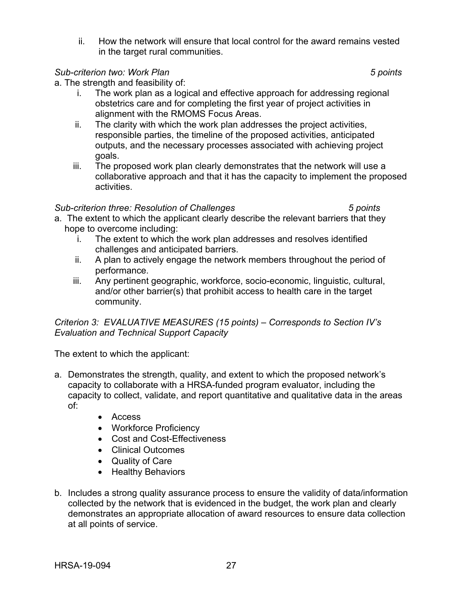ii. How the network will ensure that local control for the award remains vested in the target rural communities.

### *Sub-criterion two: Work Plan 5 points*

a. The strength and feasibility of:

- i. The work plan as a logical and effective approach for addressing regional obstetrics care and for completing the first year of project activities in alignment with the RMOMS Focus Areas.
- ii. The clarity with which the work plan addresses the project activities, responsible parties, the timeline of the proposed activities, anticipated outputs, and the necessary processes associated with achieving project goals.
- iii. The proposed work plan clearly demonstrates that the network will use a collaborative approach and that it has the capacity to implement the proposed activities.

## *Sub-criterion three: Resolution of Challenges 5 points*

- a. The extent to which the applicant clearly describe the relevant barriers that they hope to overcome including:
	- i. The extent to which the work plan addresses and resolves identified challenges and anticipated barriers.
	- ii. A plan to actively engage the network members throughout the period of performance.
	- iii. Any pertinent geographic, workforce, socio-economic, linguistic, cultural, and/or other barrier(s) that prohibit access to health care in the target community.

*Criterion 3: EVALUATIVE MEASURES (15 points) – Corresponds to Section IV's Evaluation and Technical Support Capacity*

The extent to which the applicant:

- a. Demonstrates the strength, quality, and extent to which the proposed network's capacity to collaborate with a HRSA-funded program evaluator, including the capacity to collect, validate, and report quantitative and qualitative data in the areas of:
	- Access
	- Workforce Proficiency
	- Cost and Cost-Effectiveness
	- Clinical Outcomes
	- Quality of Care
	- Healthy Behaviors
- b. Includes a strong quality assurance process to ensure the validity of data/information collected by the network that is evidenced in the budget, the work plan and clearly demonstrates an appropriate allocation of award resources to ensure data collection at all points of service.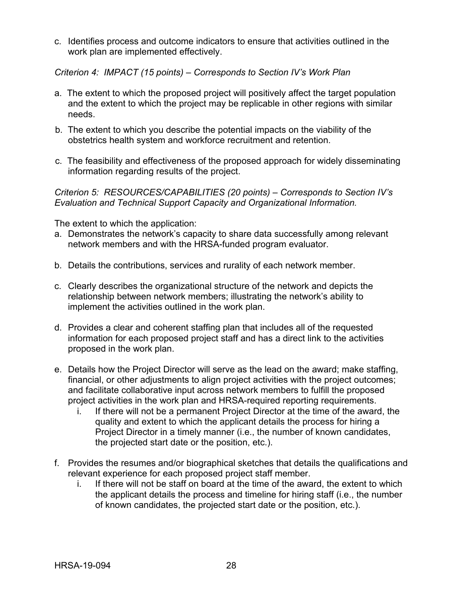c. Identifies process and outcome indicators to ensure that activities outlined in the work plan are implemented effectively.

*Criterion 4: IMPACT (15 points) – Corresponds to Section IV's Work Plan*

- a. The extent to which the proposed project will positively affect the target population and the extent to which the project may be replicable in other regions with similar needs.
- b. The extent to which you describe the potential impacts on the viability of the obstetrics health system and workforce recruitment and retention.
- c. The feasibility and effectiveness of the proposed approach for widely disseminating information regarding results of the project.

*Criterion 5: RESOURCES/CAPABILITIES (20 points) – Corresponds to Section IV's Evaluation and Technical Support Capacity and Organizational Information.*

The extent to which the application:

- a. Demonstrates the network's capacity to share data successfully among relevant network members and with the HRSA-funded program evaluator.
- b. Details the contributions, services and rurality of each network member.
- c. Clearly describes the organizational structure of the network and depicts the relationship between network members; illustrating the network's ability to implement the activities outlined in the work plan.
- d. Provides a clear and coherent staffing plan that includes all of the requested information for each proposed project staff and has a direct link to the activities proposed in the work plan.
- e. Details how the Project Director will serve as the lead on the award; make staffing, financial, or other adjustments to align project activities with the project outcomes; and facilitate collaborative input across network members to fulfill the proposed project activities in the work plan and HRSA-required reporting requirements.
	- i. If there will not be a permanent Project Director at the time of the award, the quality and extent to which the applicant details the process for hiring a Project Director in a timely manner (i.e., the number of known candidates, the projected start date or the position, etc.).
- f. Provides the resumes and/or biographical sketches that details the qualifications and relevant experience for each proposed project staff member.
	- i. If there will not be staff on board at the time of the award, the extent to which the applicant details the process and timeline for hiring staff (i.e., the number of known candidates, the projected start date or the position, etc.).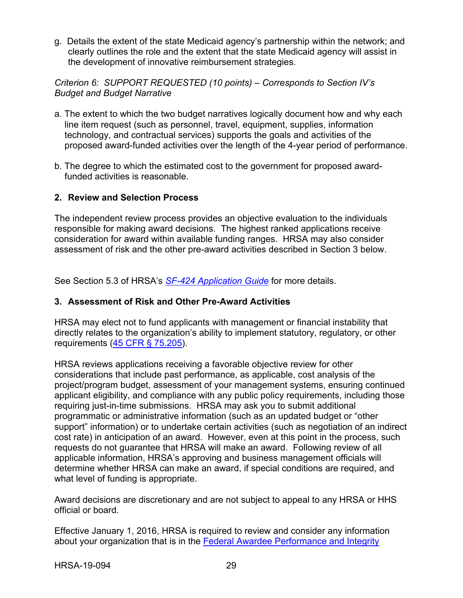g. Details the extent of the state Medicaid agency's partnership within the network; and clearly outlines the role and the extent that the state Medicaid agency will assist in the development of innovative reimbursement strategies.

*Criterion 6: SUPPORT REQUESTED (10 points) – Corresponds to Section IV's Budget and Budget Narrative*

- a. The extent to which the two budget narratives logically document how and why each line item request (such as personnel, travel, equipment, supplies, information technology, and contractual services) supports the goals and activities of the proposed award-funded activities over the length of the 4-year period of performance.
- b. The degree to which the estimated cost to the government for proposed awardfunded activities is reasonable.

#### <span id="page-32-0"></span>**2. Review and Selection Process**

The independent review process provides an objective evaluation to the individuals responsible for making award decisions. The highest ranked applications receive consideration for award within available funding ranges. HRSA may also consider assessment of risk and the other pre-award activities described in Section 3 below.

See Section 5.3 of HRSA's *SF-424 [Application Guide](http://www.hrsa.gov/grants/apply/applicationguide/sf424guide.pdf)* for more details.

#### <span id="page-32-1"></span>**3. Assessment of Risk and Other Pre-Award Activities**

HRSA may elect not to fund applicants with management or financial instability that directly relates to the organization's ability to implement statutory, regulatory, or other requirements [\(45 CFR § 75.205\)](https://www.ecfr.gov/cgi-bin/retrieveECFR?gp=1&SID=4d52364ec83fab994c665943dadf9cf7&ty=HTML&h=L&r=PART&n=pt45.1.75).

HRSA reviews applications receiving a favorable objective review for other considerations that include past performance, as applicable, cost analysis of the project/program budget, assessment of your management systems, ensuring continued applicant eligibility, and compliance with any public policy requirements, including those requiring just-in-time submissions. HRSA may ask you to submit additional programmatic or administrative information (such as an updated budget or "other support" information) or to undertake certain activities (such as negotiation of an indirect cost rate) in anticipation of an award. However, even at this point in the process, such requests do not guarantee that HRSA will make an award. Following review of all applicable information, HRSA's approving and business management officials will determine whether HRSA can make an award, if special conditions are required, and what level of funding is appropriate.

Award decisions are discretionary and are not subject to appeal to any HRSA or HHS official or board.

Effective January 1, 2016, HRSA is required to review and consider any information about your organization that is in the [Federal Awardee Performance and Integrity](https://www.fapiis.gov/)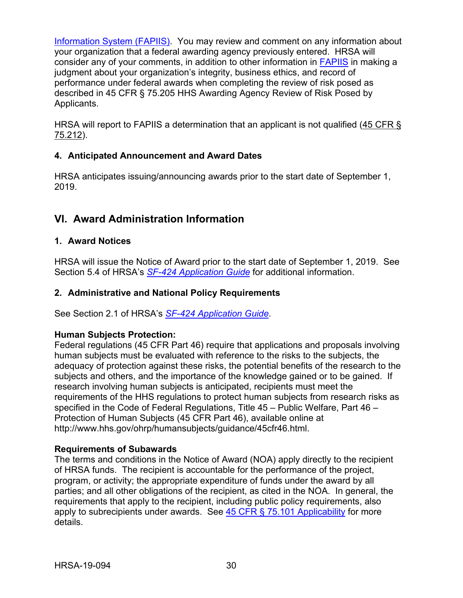[Information System \(FAPIIS\).](https://www.fapiis.gov/) You may review and comment on any information about your organization that a federal awarding agency previously entered. HRSA will consider any of your comments, in addition to other information in [FAPIIS](https://www.fapiis.gov/) in making a judgment about your organization's integrity, business ethics, and record of performance under federal awards when completing the review of risk posed as described in [45 CFR § 75.205 HHS Awarding Agency Review of Risk Posed by](https://www.ecfr.gov/cgi-bin/retrieveECFR?gp=1&SID=4d52364ec83fab994c665943dadf9cf7&ty=HTML&h=L&r=PART&n=pt45.1.75)  [Applicants.](https://www.ecfr.gov/cgi-bin/retrieveECFR?gp=1&SID=4d52364ec83fab994c665943dadf9cf7&ty=HTML&h=L&r=PART&n=pt45.1.75)

HRSA will report to FAPIIS a determination that an applicant is not qualified [\(45 CFR §](https://www.ecfr.gov/cgi-bin/retrieveECFR?gp=1&SID=4d52364ec83fab994c665943dadf9cf7&ty=HTML&h=L&r=PART&n=pt45.1.75)  [75.212\)](https://www.ecfr.gov/cgi-bin/retrieveECFR?gp=1&SID=4d52364ec83fab994c665943dadf9cf7&ty=HTML&h=L&r=PART&n=pt45.1.75).

## <span id="page-33-0"></span>**4. Anticipated Announcement and Award Dates**

HRSA anticipates issuing/announcing awards prior to the start date of September 1, 2019.

## <span id="page-33-1"></span>**VI. Award Administration Information**

## <span id="page-33-2"></span>**1. Award Notices**

HRSA will issue the Notice of Award prior to the start date of September 1, 2019. See Section 5.4 of HRSA's *SF-424 [Application Guide](http://www.hrsa.gov/grants/apply/applicationguide/sf424guide.pdf)* for additional information.

## <span id="page-33-3"></span>**2. Administrative and National Policy Requirements**

See Section 2.1 of HRSA's *SF-424 [Application Guide](http://www.hrsa.gov/grants/apply/applicationguide/sf424guide.pdf)*.

#### **Human Subjects Protection:**

Federal regulations (45 CFR Part 46) require that applications and proposals involving human subjects must be evaluated with reference to the risks to the subjects, the adequacy of protection against these risks, the potential benefits of the research to the subjects and others, and the importance of the knowledge gained or to be gained. If research involving human subjects is anticipated, recipients must meet the requirements of the HHS regulations to protect human subjects from research risks as specified in the Code of Federal Regulations, Title 45 – Public Welfare, Part 46 – Protection of Human Subjects (45 CFR Part 46), available online at http://www.hhs.gov/ohrp/humansubjects/guidance/45cfr46.html.

#### **Requirements of Subawards**

The terms and conditions in the Notice of Award (NOA) apply directly to the recipient of HRSA funds. The recipient is accountable for the performance of the project, program, or activity; the appropriate expenditure of funds under the award by all parties; and all other obligations of the recipient, as cited in the NOA. In general, the requirements that apply to the recipient, including public policy requirements, also apply to subrecipients under awards. See  $45$  CFR  $\S$  75.101 Applicability for more details.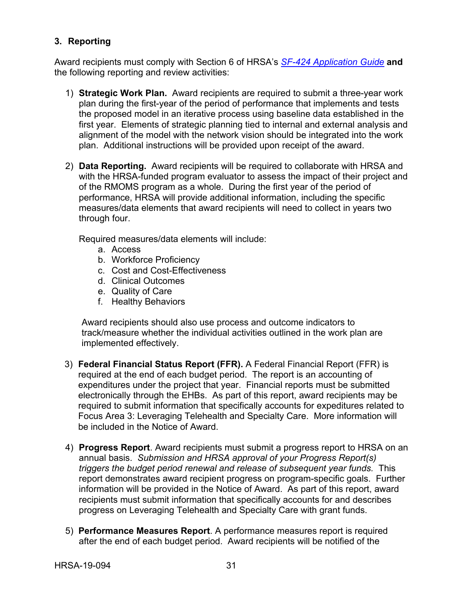## <span id="page-34-0"></span>**3. Reporting**

Award recipients must comply with Section 6 of HRSA's *SF-424 [Application Guide](http://www.hrsa.gov/grants/apply/applicationguide/sf424guide.pdf)* **and** the following reporting and review activities:

- 1) **Strategic Work Plan.** Award recipients are required to submit a three-year work plan during the first-year of the period of performance that implements and tests the proposed model in an iterative process using baseline data established in the first year. Elements of strategic planning tied to internal and external analysis and alignment of the model with the network vision should be integrated into the work plan. Additional instructions will be provided upon receipt of the award.
- 2) **Data Reporting.** Award recipients will be required to collaborate with HRSA and with the HRSA-funded program evaluator to assess the impact of their project and of the RMOMS program as a whole. During the first year of the period of performance, HRSA will provide additional information, including the specific measures/data elements that award recipients will need to collect in years two through four.

Required measures/data elements will include:

- a. Access
- b. Workforce Proficiency
- c. Cost and Cost-Effectiveness
- d. Clinical Outcomes
- e. Quality of Care
- f. Healthy Behaviors

Award recipients should also use process and outcome indicators to track/measure whether the individual activities outlined in the work plan are implemented effectively.

- 3) **Federal Financial Status Report (FFR).** A Federal Financial Report (FFR) is required at the end of each budget period. The report is an accounting of expenditures under the project that year. Financial reports must be submitted electronically through the EHBs. As part of this report, award recipients may be required to submit information that specifically accounts for expeditures related to Focus Area 3: Leveraging Telehealth and Specialty Care. More information will be included in the Notice of Award.
- 4) **Progress Report**. Award recipients must submit a progress report to HRSA on an annual basis. *Submission and HRSA approval of your Progress Report(s) triggers the budget period renewal and release of subsequent year funds.* This report demonstrates award recipient progress on program-specific goals. Further information will be provided in the Notice of Award. As part of this report, award recipients must submit information that specifically accounts for and describes progress on Leveraging Telehealth and Specialty Care with grant funds.
- 5) **Performance Measures Report**. A performance measures report is required after the end of each budget period. Award recipients will be notified of the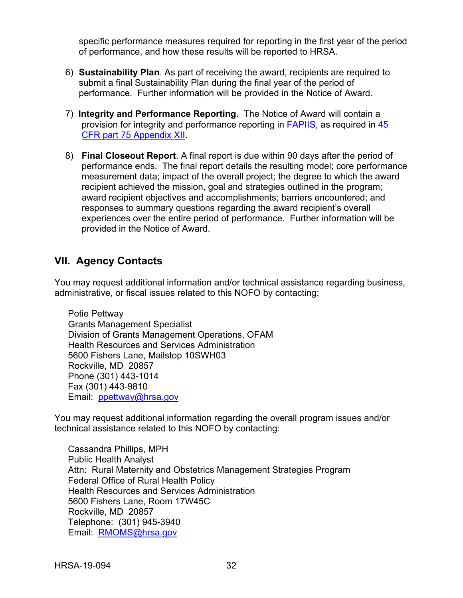specific performance measures required for reporting in the first year of the period of performance, and how these results will be reported to HRSA.

- 6) **Sustainability Plan**. As part of receiving the award, recipients are required to submit a final Sustainability Plan during the final year of the period of performance. Further information will be provided in the Notice of Award.
- 7) **Integrity and Performance Reporting.** The Notice of Award will contain a provision for integrity and performance reporting in [FAPIIS,](https://www.fapiis.gov/) as required in [45](https://www.ecfr.gov/cgi-bin/retrieveECFR?gp=1&SID=4d52364ec83fab994c665943dadf9cf7&ty=HTML&h=L&r=PART&n=pt45.1.75)  [CFR part 75 Appendix XII.](https://www.ecfr.gov/cgi-bin/retrieveECFR?gp=1&SID=4d52364ec83fab994c665943dadf9cf7&ty=HTML&h=L&r=PART&n=pt45.1.75)
- 8) **Final Closeout Report**. A final report is due within 90 days after the period of performance ends. The final report details the resulting model; core performance measurement data; impact of the overall project; the degree to which the award recipient achieved the mission, goal and strategies outlined in the program; award recipient objectives and accomplishments; barriers encountered; and responses to summary questions regarding the award recipient's overall experiences over the entire period of performance. Further information will be provided in the Notice of Award.

## <span id="page-35-0"></span>**VII. Agency Contacts**

You may request additional information and/or technical assistance regarding business, administrative, or fiscal issues related to this NOFO by contacting:

Potie Pettway Grants Management Specialist Division of Grants Management Operations, OFAM Health Resources and Services Administration 5600 Fishers Lane, Mailstop 10SWH03 Rockville, MD 20857 Phone (301) 443-1014 Fax (301) 443-9810 Email: [ppettway@hrsa.gov](mailto:ppettway@hrsa.gov)

You may request additional information regarding the overall program issues and/or technical assistance related to this NOFO by contacting:

Cassandra Phillips, MPH Public Health Analyst Attn: Rural Maternity and Obstetrics Management Strategies Program Federal Office of Rural Health Policy Health Resources and Services Administration 5600 Fishers Lane, Room 17W45C Rockville, MD 20857 Telephone: (301) 945-3940 Email: [RMOMS@hrsa.gov](mailto:RMOMS@hrsa.gov)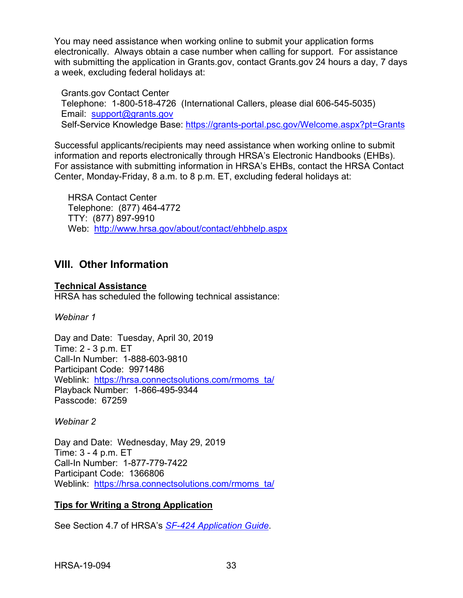You may need assistance when working online to submit your application forms electronically. Always obtain a case number when calling for support. For assistance with submitting the application in Grants.gov, contact Grants.gov 24 hours a day, 7 days a week, excluding federal holidays at:

Grants.gov Contact Center Telephone: 1-800-518-4726 (International Callers, please dial 606-545-5035) Email: [support@grants.gov](mailto:support@grants.gov) Self-Service Knowledge Base: <https://grants-portal.psc.gov/Welcome.aspx?pt=Grants>

Successful applicants/recipients may need assistance when working online to submit information and reports electronically through HRSA's Electronic Handbooks (EHBs). For assistance with submitting information in HRSA's EHBs, contact the HRSA Contact Center, Monday-Friday, 8 a.m. to 8 p.m. ET, excluding federal holidays at:

HRSA Contact Center Telephone: (877) 464-4772 TTY: (877) 897-9910 Web: <http://www.hrsa.gov/about/contact/ehbhelp.aspx>

## <span id="page-36-0"></span>**VIII. Other Information**

**Technical Assistance**

HRSA has scheduled the following technical assistance:

*Webinar 1*

Day and Date: Tuesday, April 30, 2019 Time: 2 - 3 p.m. ET Call-In Number: 1-888-603-9810 Participant Code: 9971486 Weblink: [https://hrsa.connectsolutions.com/rmoms\\_ta/](https://hrsa.connectsolutions.com/rmoms_ta/) Playback Number: 1-866-495-9344 Passcode: 67259

*Webinar 2*

Day and Date: Wednesday, May 29, 2019 Time: 3 - 4 p.m. ET Call-In Number: 1-877-779-7422 Participant Code: 1366806 Weblink: [https://hrsa.connectsolutions.com/rmoms\\_ta/](https://hrsa.connectsolutions.com/rmoms_ta/)

## **Tips for Writing a Strong Application**

See Section 4.7 of HRSA's *SF-424 [Application Guide](http://www.hrsa.gov/grants/apply/applicationguide/sf424guide.pdf)*.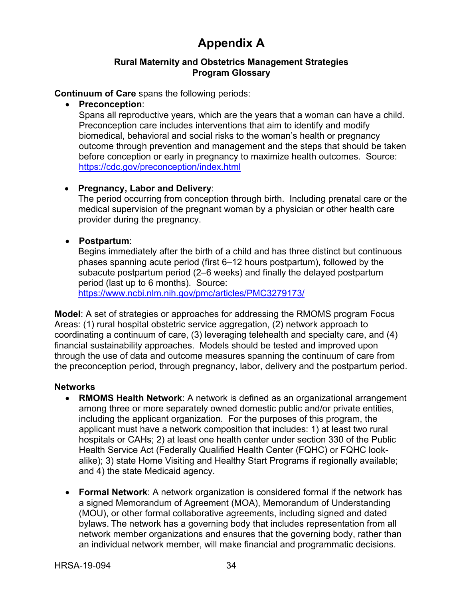# **Appendix A**

#### **Rural Maternity and Obstetrics Management Strategies Program Glossary**

#### <span id="page-37-0"></span>**Continuum of Care** spans the following periods:

#### • **Preconception**:

Spans all reproductive years, which are the years that a woman can have a child. Preconception care includes interventions that aim to identify and modify biomedical, behavioral and social risks to the woman's health or pregnancy outcome through prevention and management and the steps that should be taken before conception or early in pregnancy to maximize health outcomes. Source: <https://cdc.gov/preconception/index.html>

#### • **Pregnancy, Labor and Delivery**:

The period occurring from conception through birth. Including prenatal care or the medical supervision of the pregnant woman by a physician or other health care provider during the pregnancy.

#### • **Postpartum**:

Begins immediately after the birth of a child and has three distinct but continuous phases spanning acute period (first 6–12 hours postpartum), followed by the subacute postpartum period (2–6 weeks) and finally the delayed postpartum period (last up to 6 months). Source:

<https://www.ncbi.nlm.nih.gov/pmc/articles/PMC3279173/>

<span id="page-37-1"></span>**Model**: A set of strategies or approaches for addressing the RMOMS program Focus Areas: (1) rural hospital obstetric service aggregation, (2) network approach to coordinating a continuum of care, (3) leveraging telehealth and specialty care, and (4) financial sustainability approaches. Models should be tested and improved upon through the use of data and outcome measures spanning the continuum of care from the preconception period, through pregnancy, labor, delivery and the postpartum period.

#### **Networks**

- **RMOMS Health Network**: A network is defined as an organizational arrangement among three or more separately owned domestic public and/or private entities, including the applicant organization. For the purposes of this program, the applicant must have a network composition that includes: 1) at least two rural hospitals or CAHs; 2) at least one health center under section 330 of the Public Health Service Act (Federally Qualified Health Center (FQHC) or FQHC lookalike); 3) state Home Visiting and Healthy Start Programs if regionally available; and 4) the state Medicaid agency.
- **Formal Network**: A network organization is considered formal if the network has a signed Memorandum of Agreement (MOA), Memorandum of Understanding (MOU), or other formal collaborative agreements, including signed and dated bylaws. The network has a governing body that includes representation from all network member organizations and ensures that the governing body, rather than an individual network member, will make financial and programmatic decisions.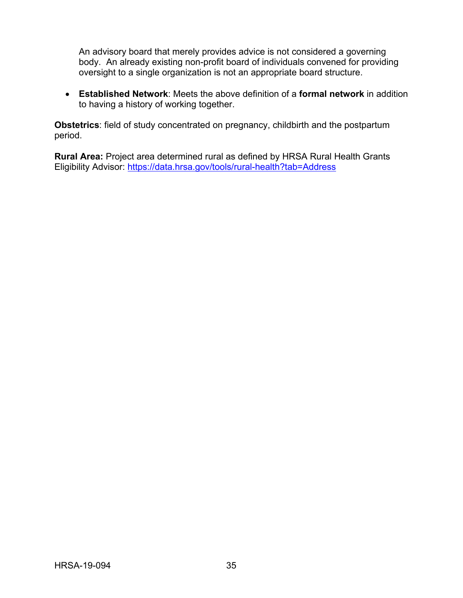An advisory board that merely provides advice is not considered a governing body. An already existing non-profit board of individuals convened for providing oversight to a single organization is not an appropriate board structure.

• **Established Network**: Meets the above definition of a **formal network** in addition to having a history of working together.

**Obstetrics**: field of study concentrated on pregnancy, childbirth and the postpartum period.

**Rural Area:** Project area determined rural as defined by HRSA Rural Health Grants Eligibility Advisor:<https://data.hrsa.gov/tools/rural-health?tab=Address>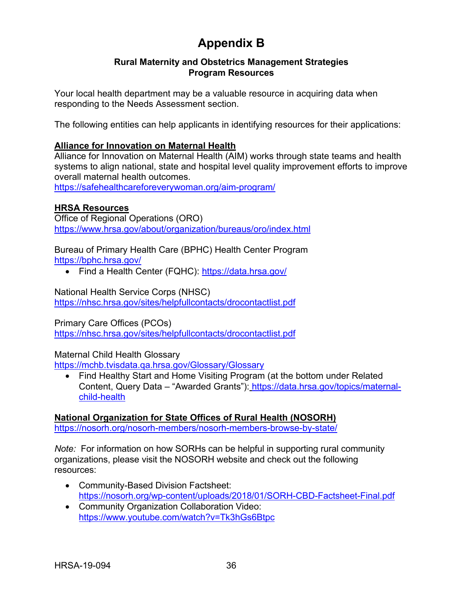# **Appendix B**

#### **Rural Maternity and Obstetrics Management Strategies Program Resources**

<span id="page-39-0"></span>Your local health department may be a valuable resource in acquiring data when responding to the Needs Assessment section.

The following entities can help applicants in identifying resources for their applications:

#### **Alliance for Innovation on Maternal Health**

Alliance for Innovation on Maternal Health (AIM) works through state teams and health systems to align national, state and hospital level quality improvement efforts to improve overall maternal health outcomes.

<https://safehealthcareforeverywoman.org/aim-program/>

#### **HRSA Resources**

Office of Regional Operations (ORO) <https://www.hrsa.gov/about/organization/bureaus/oro/index.html>

Bureau of Primary Health Care (BPHC) Health Center Program <https://bphc.hrsa.gov/>

• Find a Health Center (FQHC):<https://data.hrsa.gov/>

#### National Health Service Corps (NHSC)

<https://nhsc.hrsa.gov/sites/helpfullcontacts/drocontactlist.pdf>

#### Primary Care Offices (PCOs)

<https://nhsc.hrsa.gov/sites/helpfullcontacts/drocontactlist.pdf>

#### Maternal Child Health Glossary

<https://mchb.tvisdata.qa.hrsa.gov/Glossary/Glossary>

• Find Healthy Start and Home Visiting Program (at the bottom under Related Content, Query Data – "Awarded Grants"): [https://data.hrsa.gov/topics/maternal](https://data.hrsa.gov/topics/maternal-child-health)[child-health](https://data.hrsa.gov/topics/maternal-child-health)

## **National Organization for [State Offices of Rural Health \(NOSORH\)](https://nosorh.org/nosorh-members/nosorh-members-browse-by-state/)**

<https://nosorh.org/nosorh-members/nosorh-members-browse-by-state/>

*Note:* For information on how SORHs can be helpful in supporting rural community organizations, please visit the NOSORH website and check out the following resources:

- Community-Based Division Factsheet: <https://nosorh.org/wp-content/uploads/2018/01/SORH-CBD-Factsheet-Final.pdf>
- Community Organization Collaboration Video: <https://www.youtube.com/watch?v=Tk3hGs6Btpc>